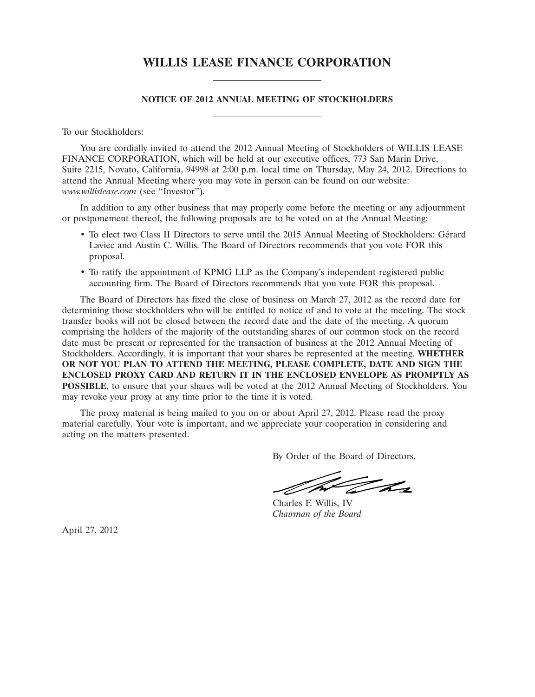# **WILLIS LEASE FINANCE CORPORATION**

## **NOTICE OF 2012 ANNUAL MEETING OF STOCKHOLDERS**

To our Stockholders:

You are cordially invited to attend the 2012 Annual Meeting of Stockholders of WILLIS LEASE FINANCE CORPORATION, which will be held at our executive offices, 773 San Marin Drive, Suite 2215, Novato, California, 94998 at 2:00 p.m. local time on Thursday, May 24, 2012. Directions to attend the Annual Meeting where you may vote in person can be found on our website: *www.willislease.com* (see ''Investor'').

In addition to any other business that may properly come before the meeting or any adjournment or postponement thereof, the following proposals are to be voted on at the Annual Meeting:

- To elect two Class II Directors to serve until the 2015 Annual Meeting of Stockholders: Gerard ´ Laviec and Austin C. Willis. The Board of Directors recommends that you vote FOR this proposal.
- To ratify the appointment of KPMG LLP as the Company's independent registered public accounting firm. The Board of Directors recommends that you vote FOR this proposal.

The Board of Directors has fixed the close of business on March 27, 2012 as the record date for determining those stockholders who will be entitled to notice of and to vote at the meeting. The stock transfer books will not be closed between the record date and the date of the meeting. A quorum comprising the holders of the majority of the outstanding shares of our common stock on the record date must be present or represented for the transaction of business at the 2012 Annual Meeting of Stockholders. Accordingly, it is important that your shares be represented at the meeting. **WHETHER OR NOT YOU PLAN TO ATTEND THE MEETING, PLEASE COMPLETE, DATE AND SIGN THE ENCLOSED PROXY CARD AND RETURN IT IN THE ENCLOSED ENVELOPE AS PROMPTLY AS POSSIBLE**, to ensure that your shares will be voted at the 2012 Annual Meeting of Stockholders. You may revoke your proxy at any time prior to the time it is voted.

The proxy material is being mailed to you on or about April 27, 2012. Please read the proxy material carefully. Your vote is important, and we appreciate your cooperation in considering and acting on the matters presented.

By Order of the Board of Directors,

 $\mathbb{Z}_{4}$ 

Charles F. Willis, IV *Chairman of the Board*

April 27, 2012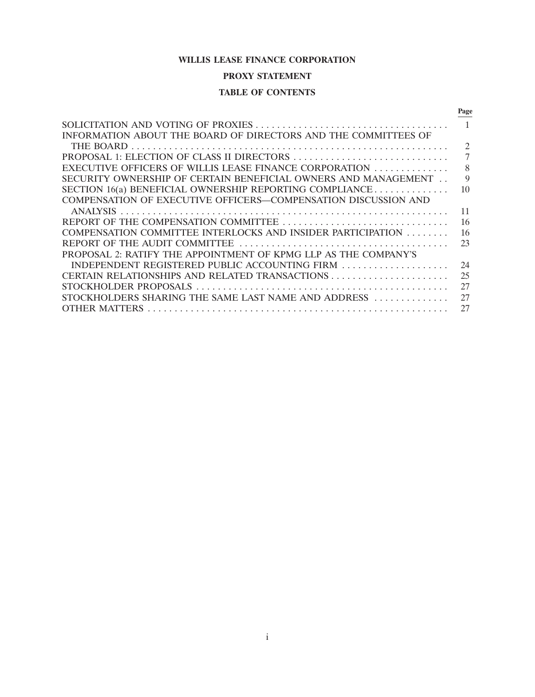# **WILLIS LEASE FINANCE CORPORATION**

# **PROXY STATEMENT**

# **TABLE OF CONTENTS**

|                                                                 | Page                        |
|-----------------------------------------------------------------|-----------------------------|
|                                                                 |                             |
| INFORMATION ABOUT THE BOARD OF DIRECTORS AND THE COMMITTEES OF  |                             |
|                                                                 | $\mathcal{D}_{\mathcal{L}}$ |
| PROPOSAL 1: ELECTION OF CLASS II DIRECTORS                      |                             |
| EXECUTIVE OFFICERS OF WILLIS LEASE FINANCE CORPORATION          | 8                           |
| SECURITY OWNERSHIP OF CERTAIN BENEFICIAL OWNERS AND MANAGEMENT  | 9                           |
| SECTION 16(a) BENEFICIAL OWNERSHIP REPORTING COMPLIANCE         | 10                          |
| COMPENSATION OF EXECUTIVE OFFICERS—COMPENSATION DISCUSSION AND  |                             |
| <b>ANALYSIS</b>                                                 | 11                          |
|                                                                 | 16                          |
| COMPENSATION COMMITTEE INTERLOCKS AND INSIDER PARTICIPATION     | 16                          |
|                                                                 | 23                          |
| PROPOSAL 2: RATIFY THE APPOINTMENT OF KPMG LLP AS THE COMPANY'S |                             |
| INDEPENDENT REGISTERED PUBLIC ACCOUNTING FIRM                   | 24                          |
|                                                                 | 25                          |
|                                                                 | 27                          |
| STOCKHOLDERS SHARING THE SAME LAST NAME AND ADDRESS             | 27                          |
| <b>OTHER MATTERS</b>                                            |                             |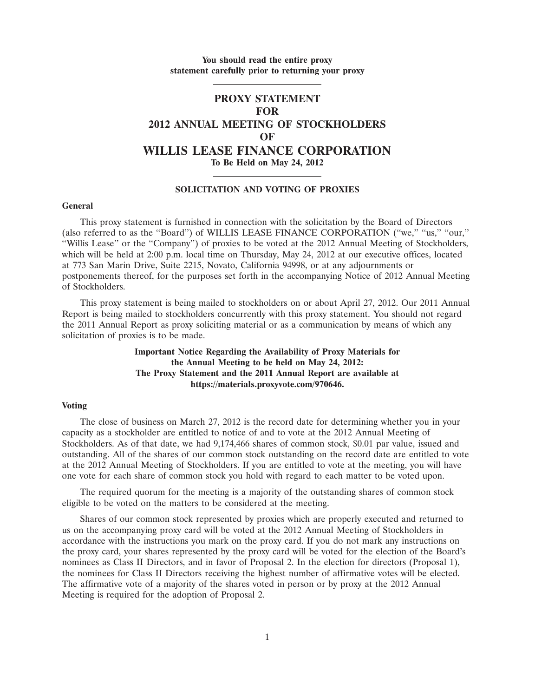## **You should read the entire proxy statement carefully prior to returning your proxy**

# **PROXY STATEMENT FOR 2012 ANNUAL MEETING OF STOCKHOLDERS OF WILLIS LEASE FINANCE CORPORATION To Be Held on May 24, 2012**

## **SOLICITATION AND VOTING OF PROXIES**

#### **General**

This proxy statement is furnished in connection with the solicitation by the Board of Directors (also referred to as the ''Board'') of WILLIS LEASE FINANCE CORPORATION (''we,'' ''us,'' ''our,'' ''Willis Lease'' or the ''Company'') of proxies to be voted at the 2012 Annual Meeting of Stockholders, which will be held at 2:00 p.m. local time on Thursday, May 24, 2012 at our executive offices, located at 773 San Marin Drive, Suite 2215, Novato, California 94998, or at any adjournments or postponements thereof, for the purposes set forth in the accompanying Notice of 2012 Annual Meeting of Stockholders.

This proxy statement is being mailed to stockholders on or about April 27, 2012. Our 2011 Annual Report is being mailed to stockholders concurrently with this proxy statement. You should not regard the 2011 Annual Report as proxy soliciting material or as a communication by means of which any solicitation of proxies is to be made.

# **Important Notice Regarding the Availability of Proxy Materials for the Annual Meeting to be held on May 24, 2012: The Proxy Statement and the 2011 Annual Report are available at https://materials.proxyvote.com/970646.**

#### **Voting**

The close of business on March 27, 2012 is the record date for determining whether you in your capacity as a stockholder are entitled to notice of and to vote at the 2012 Annual Meeting of Stockholders. As of that date, we had 9,174,466 shares of common stock, \$0.01 par value, issued and outstanding. All of the shares of our common stock outstanding on the record date are entitled to vote at the 2012 Annual Meeting of Stockholders. If you are entitled to vote at the meeting, you will have one vote for each share of common stock you hold with regard to each matter to be voted upon.

The required quorum for the meeting is a majority of the outstanding shares of common stock eligible to be voted on the matters to be considered at the meeting.

Shares of our common stock represented by proxies which are properly executed and returned to us on the accompanying proxy card will be voted at the 2012 Annual Meeting of Stockholders in accordance with the instructions you mark on the proxy card. If you do not mark any instructions on the proxy card, your shares represented by the proxy card will be voted for the election of the Board's nominees as Class II Directors, and in favor of Proposal 2. In the election for directors (Proposal 1), the nominees for Class II Directors receiving the highest number of affirmative votes will be elected. The affirmative vote of a majority of the shares voted in person or by proxy at the 2012 Annual Meeting is required for the adoption of Proposal 2.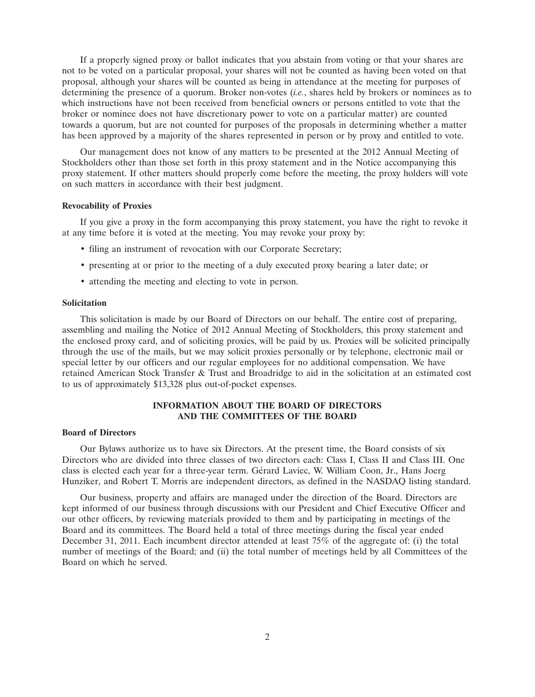If a properly signed proxy or ballot indicates that you abstain from voting or that your shares are not to be voted on a particular proposal, your shares will not be counted as having been voted on that proposal, although your shares will be counted as being in attendance at the meeting for purposes of determining the presence of a quorum. Broker non-votes (*i.e.*, shares held by brokers or nominees as to which instructions have not been received from beneficial owners or persons entitled to vote that the broker or nominee does not have discretionary power to vote on a particular matter) are counted towards a quorum, but are not counted for purposes of the proposals in determining whether a matter has been approved by a majority of the shares represented in person or by proxy and entitled to vote.

Our management does not know of any matters to be presented at the 2012 Annual Meeting of Stockholders other than those set forth in this proxy statement and in the Notice accompanying this proxy statement. If other matters should properly come before the meeting, the proxy holders will vote on such matters in accordance with their best judgment.

## **Revocability of Proxies**

If you give a proxy in the form accompanying this proxy statement, you have the right to revoke it at any time before it is voted at the meeting. You may revoke your proxy by:

- filing an instrument of revocation with our Corporate Secretary;
- presenting at or prior to the meeting of a duly executed proxy bearing a later date; or
- attending the meeting and electing to vote in person.

## **Solicitation**

This solicitation is made by our Board of Directors on our behalf. The entire cost of preparing, assembling and mailing the Notice of 2012 Annual Meeting of Stockholders, this proxy statement and the enclosed proxy card, and of soliciting proxies, will be paid by us. Proxies will be solicited principally through the use of the mails, but we may solicit proxies personally or by telephone, electronic mail or special letter by our officers and our regular employees for no additional compensation. We have retained American Stock Transfer & Trust and Broadridge to aid in the solicitation at an estimated cost to us of approximately \$13,328 plus out-of-pocket expenses.

# **INFORMATION ABOUT THE BOARD OF DIRECTORS AND THE COMMITTEES OF THE BOARD**

### **Board of Directors**

Our Bylaws authorize us to have six Directors. At the present time, the Board consists of six Directors who are divided into three classes of two directors each: Class I, Class II and Class III. One class is elected each year for a three-year term. Gérard Laviec, W. William Coon, Jr., Hans Joerg Hunziker, and Robert T. Morris are independent directors, as defined in the NASDAQ listing standard.

Our business, property and affairs are managed under the direction of the Board. Directors are kept informed of our business through discussions with our President and Chief Executive Officer and our other officers, by reviewing materials provided to them and by participating in meetings of the Board and its committees. The Board held a total of three meetings during the fiscal year ended December 31, 2011. Each incumbent director attended at least 75% of the aggregate of: (i) the total number of meetings of the Board; and (ii) the total number of meetings held by all Committees of the Board on which he served.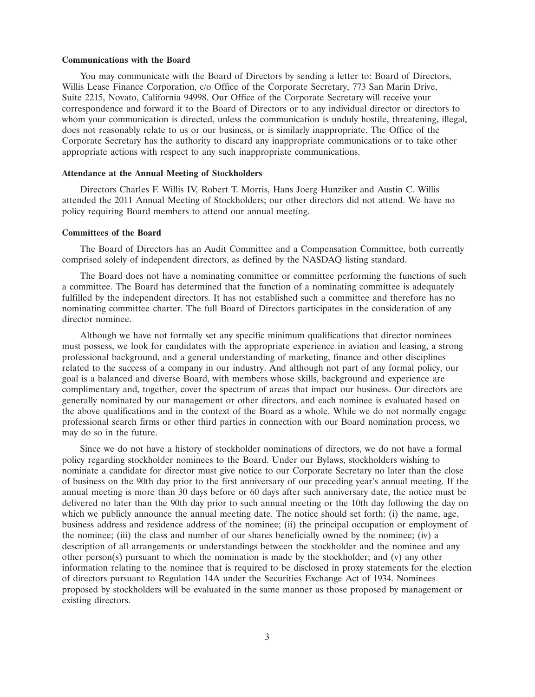#### **Communications with the Board**

You may communicate with the Board of Directors by sending a letter to: Board of Directors, Willis Lease Finance Corporation, c/o Office of the Corporate Secretary, 773 San Marin Drive, Suite 2215, Novato, California 94998. Our Office of the Corporate Secretary will receive your correspondence and forward it to the Board of Directors or to any individual director or directors to whom your communication is directed, unless the communication is unduly hostile, threatening, illegal, does not reasonably relate to us or our business, or is similarly inappropriate. The Office of the Corporate Secretary has the authority to discard any inappropriate communications or to take other appropriate actions with respect to any such inappropriate communications.

#### **Attendance at the Annual Meeting of Stockholders**

Directors Charles F. Willis IV, Robert T. Morris, Hans Joerg Hunziker and Austin C. Willis attended the 2011 Annual Meeting of Stockholders; our other directors did not attend. We have no policy requiring Board members to attend our annual meeting.

#### **Committees of the Board**

The Board of Directors has an Audit Committee and a Compensation Committee, both currently comprised solely of independent directors, as defined by the NASDAQ listing standard.

The Board does not have a nominating committee or committee performing the functions of such a committee. The Board has determined that the function of a nominating committee is adequately fulfilled by the independent directors. It has not established such a committee and therefore has no nominating committee charter. The full Board of Directors participates in the consideration of any director nominee.

Although we have not formally set any specific minimum qualifications that director nominees must possess, we look for candidates with the appropriate experience in aviation and leasing, a strong professional background, and a general understanding of marketing, finance and other disciplines related to the success of a company in our industry. And although not part of any formal policy, our goal is a balanced and diverse Board, with members whose skills, background and experience are complimentary and, together, cover the spectrum of areas that impact our business. Our directors are generally nominated by our management or other directors, and each nominee is evaluated based on the above qualifications and in the context of the Board as a whole. While we do not normally engage professional search firms or other third parties in connection with our Board nomination process, we may do so in the future.

Since we do not have a history of stockholder nominations of directors, we do not have a formal policy regarding stockholder nominees to the Board. Under our Bylaws, stockholders wishing to nominate a candidate for director must give notice to our Corporate Secretary no later than the close of business on the 90th day prior to the first anniversary of our preceding year's annual meeting. If the annual meeting is more than 30 days before or 60 days after such anniversary date, the notice must be delivered no later than the 90th day prior to such annual meeting or the 10th day following the day on which we publicly announce the annual meeting date. The notice should set forth: (i) the name, age, business address and residence address of the nominee; (ii) the principal occupation or employment of the nominee; (iii) the class and number of our shares beneficially owned by the nominee; (iv) a description of all arrangements or understandings between the stockholder and the nominee and any other person(s) pursuant to which the nomination is made by the stockholder; and (v) any other information relating to the nominee that is required to be disclosed in proxy statements for the election of directors pursuant to Regulation 14A under the Securities Exchange Act of 1934. Nominees proposed by stockholders will be evaluated in the same manner as those proposed by management or existing directors.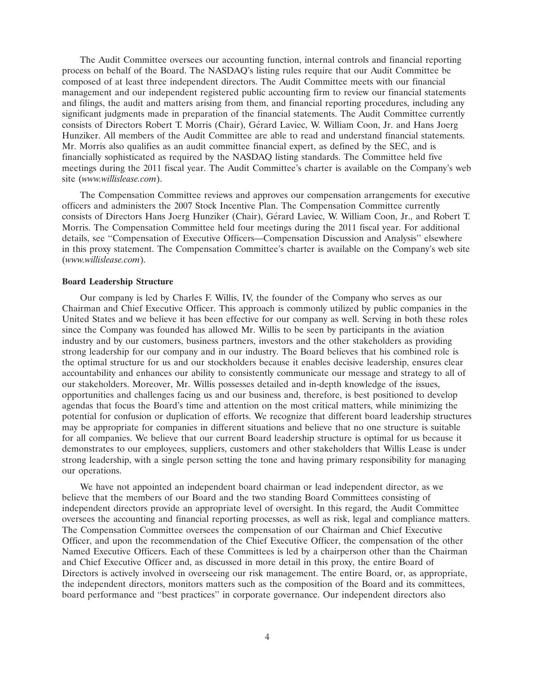The Audit Committee oversees our accounting function, internal controls and financial reporting process on behalf of the Board. The NASDAQ's listing rules require that our Audit Committee be composed of at least three independent directors. The Audit Committee meets with our financial management and our independent registered public accounting firm to review our financial statements and filings, the audit and matters arising from them, and financial reporting procedures, including any significant judgments made in preparation of the financial statements. The Audit Committee currently consists of Directors Robert T. Morris (Chair), Gérard Laviec, W. William Coon, Jr. and Hans Joerg Hunziker. All members of the Audit Committee are able to read and understand financial statements. Mr. Morris also qualifies as an audit committee financial expert, as defined by the SEC, and is financially sophisticated as required by the NASDAQ listing standards. The Committee held five meetings during the 2011 fiscal year. The Audit Committee's charter is available on the Company's web site (*www.willislease.com*).

The Compensation Committee reviews and approves our compensation arrangements for executive officers and administers the 2007 Stock Incentive Plan. The Compensation Committee currently consists of Directors Hans Joerg Hunziker (Chair), Gérard Laviec, W. William Coon, Jr., and Robert T. Morris. The Compensation Committee held four meetings during the 2011 fiscal year. For additional details, see ''Compensation of Executive Officers—Compensation Discussion and Analysis'' elsewhere in this proxy statement. The Compensation Committee's charter is available on the Company's web site (*www.willislease.com*).

#### **Board Leadership Structure**

Our company is led by Charles F. Willis, IV, the founder of the Company who serves as our Chairman and Chief Executive Officer. This approach is commonly utilized by public companies in the United States and we believe it has been effective for our company as well. Serving in both these roles since the Company was founded has allowed Mr. Willis to be seen by participants in the aviation industry and by our customers, business partners, investors and the other stakeholders as providing strong leadership for our company and in our industry. The Board believes that his combined role is the optimal structure for us and our stockholders because it enables decisive leadership, ensures clear accountability and enhances our ability to consistently communicate our message and strategy to all of our stakeholders. Moreover, Mr. Willis possesses detailed and in-depth knowledge of the issues, opportunities and challenges facing us and our business and, therefore, is best positioned to develop agendas that focus the Board's time and attention on the most critical matters, while minimizing the potential for confusion or duplication of efforts. We recognize that different board leadership structures may be appropriate for companies in different situations and believe that no one structure is suitable for all companies. We believe that our current Board leadership structure is optimal for us because it demonstrates to our employees, suppliers, customers and other stakeholders that Willis Lease is under strong leadership, with a single person setting the tone and having primary responsibility for managing our operations.

We have not appointed an independent board chairman or lead independent director, as we believe that the members of our Board and the two standing Board Committees consisting of independent directors provide an appropriate level of oversight. In this regard, the Audit Committee oversees the accounting and financial reporting processes, as well as risk, legal and compliance matters. The Compensation Committee oversees the compensation of our Chairman and Chief Executive Officer, and upon the recommendation of the Chief Executive Officer, the compensation of the other Named Executive Officers. Each of these Committees is led by a chairperson other than the Chairman and Chief Executive Officer and, as discussed in more detail in this proxy, the entire Board of Directors is actively involved in overseeing our risk management. The entire Board, or, as appropriate, the independent directors, monitors matters such as the composition of the Board and its committees, board performance and ''best practices'' in corporate governance. Our independent directors also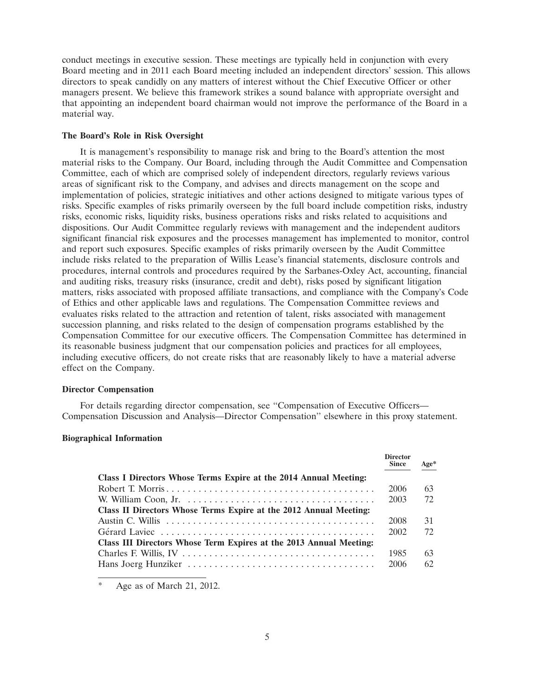conduct meetings in executive session. These meetings are typically held in conjunction with every Board meeting and in 2011 each Board meeting included an independent directors' session. This allows directors to speak candidly on any matters of interest without the Chief Executive Officer or other managers present. We believe this framework strikes a sound balance with appropriate oversight and that appointing an independent board chairman would not improve the performance of the Board in a material way.

#### **The Board's Role in Risk Oversight**

It is management's responsibility to manage risk and bring to the Board's attention the most material risks to the Company. Our Board, including through the Audit Committee and Compensation Committee, each of which are comprised solely of independent directors, regularly reviews various areas of significant risk to the Company, and advises and directs management on the scope and implementation of policies, strategic initiatives and other actions designed to mitigate various types of risks. Specific examples of risks primarily overseen by the full board include competition risks, industry risks, economic risks, liquidity risks, business operations risks and risks related to acquisitions and dispositions. Our Audit Committee regularly reviews with management and the independent auditors significant financial risk exposures and the processes management has implemented to monitor, control and report such exposures. Specific examples of risks primarily overseen by the Audit Committee include risks related to the preparation of Willis Lease's financial statements, disclosure controls and procedures, internal controls and procedures required by the Sarbanes-Oxley Act, accounting, financial and auditing risks, treasury risks (insurance, credit and debt), risks posed by significant litigation matters, risks associated with proposed affiliate transactions, and compliance with the Company's Code of Ethics and other applicable laws and regulations. The Compensation Committee reviews and evaluates risks related to the attraction and retention of talent, risks associated with management succession planning, and risks related to the design of compensation programs established by the Compensation Committee for our executive officers. The Compensation Committee has determined in its reasonable business judgment that our compensation policies and practices for all employees, including executive officers, do not create risks that are reasonably likely to have a material adverse effect on the Company.

## **Director Compensation**

For details regarding director compensation, see ''Compensation of Executive Officers— Compensation Discussion and Analysis—Director Compensation'' elsewhere in this proxy statement.

## **Biographical Information**

|                                                                    | <b>Director</b><br><b>Since</b> | $Age*$ |
|--------------------------------------------------------------------|---------------------------------|--------|
| Class I Directors Whose Terms Expire at the 2014 Annual Meeting:   |                                 |        |
|                                                                    | 2006                            | 63     |
|                                                                    | 2003                            | 72     |
| Class II Directors Whose Terms Expire at the 2012 Annual Meeting:  |                                 |        |
|                                                                    | 2008                            | 31     |
|                                                                    | 2002                            | 72     |
| Class III Directors Whose Term Expires at the 2013 Annual Meeting: |                                 |        |
|                                                                    | 1985                            | 63     |
|                                                                    | 2006                            | 62     |

Age as of March 21, 2012.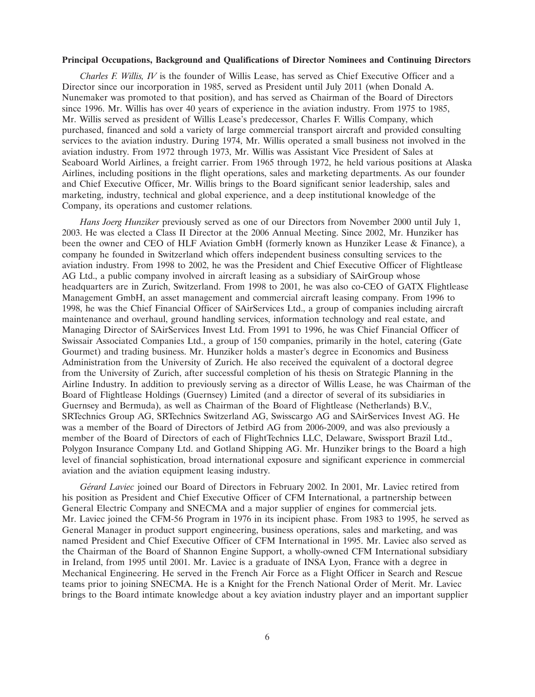#### **Principal Occupations, Background and Qualifications of Director Nominees and Continuing Directors**

*Charles F. Willis, IV* is the founder of Willis Lease, has served as Chief Executive Officer and a Director since our incorporation in 1985, served as President until July 2011 (when Donald A. Nunemaker was promoted to that position), and has served as Chairman of the Board of Directors since 1996. Mr. Willis has over 40 years of experience in the aviation industry. From 1975 to 1985, Mr. Willis served as president of Willis Lease's predecessor, Charles F. Willis Company, which purchased, financed and sold a variety of large commercial transport aircraft and provided consulting services to the aviation industry. During 1974, Mr. Willis operated a small business not involved in the aviation industry. From 1972 through 1973, Mr. Willis was Assistant Vice President of Sales at Seaboard World Airlines, a freight carrier. From 1965 through 1972, he held various positions at Alaska Airlines, including positions in the flight operations, sales and marketing departments. As our founder and Chief Executive Officer, Mr. Willis brings to the Board significant senior leadership, sales and marketing, industry, technical and global experience, and a deep institutional knowledge of the Company, its operations and customer relations.

*Hans Joerg Hunziker* previously served as one of our Directors from November 2000 until July 1, 2003. He was elected a Class II Director at the 2006 Annual Meeting. Since 2002, Mr. Hunziker has been the owner and CEO of HLF Aviation GmbH (formerly known as Hunziker Lease & Finance), a company he founded in Switzerland which offers independent business consulting services to the aviation industry. From 1998 to 2002, he was the President and Chief Executive Officer of Flightlease AG Ltd., a public company involved in aircraft leasing as a subsidiary of SAirGroup whose headquarters are in Zurich, Switzerland. From 1998 to 2001, he was also co-CEO of GATX Flightlease Management GmbH, an asset management and commercial aircraft leasing company. From 1996 to 1998, he was the Chief Financial Officer of SAirServices Ltd., a group of companies including aircraft maintenance and overhaul, ground handling services, information technology and real estate, and Managing Director of SAirServices Invest Ltd. From 1991 to 1996, he was Chief Financial Officer of Swissair Associated Companies Ltd., a group of 150 companies, primarily in the hotel, catering (Gate Gourmet) and trading business. Mr. Hunziker holds a master's degree in Economics and Business Administration from the University of Zurich. He also received the equivalent of a doctoral degree from the University of Zurich, after successful completion of his thesis on Strategic Planning in the Airline Industry. In addition to previously serving as a director of Willis Lease, he was Chairman of the Board of Flightlease Holdings (Guernsey) Limited (and a director of several of its subsidiaries in Guernsey and Bermuda), as well as Chairman of the Board of Flightlease (Netherlands) B.V., SRTechnics Group AG, SRTechnics Switzerland AG, Swisscargo AG and SAirServices Invest AG. He was a member of the Board of Directors of Jetbird AG from 2006-2009, and was also previously a member of the Board of Directors of each of FlightTechnics LLC, Delaware, Swissport Brazil Ltd., Polygon Insurance Company Ltd. and Gotland Shipping AG. Mr. Hunziker brings to the Board a high level of financial sophistication, broad international exposure and significant experience in commercial aviation and the aviation equipment leasing industry.

*G´erard Laviec* joined our Board of Directors in February 2002. In 2001, Mr. Laviec retired from his position as President and Chief Executive Officer of CFM International, a partnership between General Electric Company and SNECMA and a major supplier of engines for commercial jets. Mr. Laviec joined the CFM-56 Program in 1976 in its incipient phase. From 1983 to 1995, he served as General Manager in product support engineering, business operations, sales and marketing, and was named President and Chief Executive Officer of CFM International in 1995. Mr. Laviec also served as the Chairman of the Board of Shannon Engine Support, a wholly-owned CFM International subsidiary in Ireland, from 1995 until 2001. Mr. Laviec is a graduate of INSA Lyon, France with a degree in Mechanical Engineering. He served in the French Air Force as a Flight Officer in Search and Rescue teams prior to joining SNECMA. He is a Knight for the French National Order of Merit. Mr. Laviec brings to the Board intimate knowledge about a key aviation industry player and an important supplier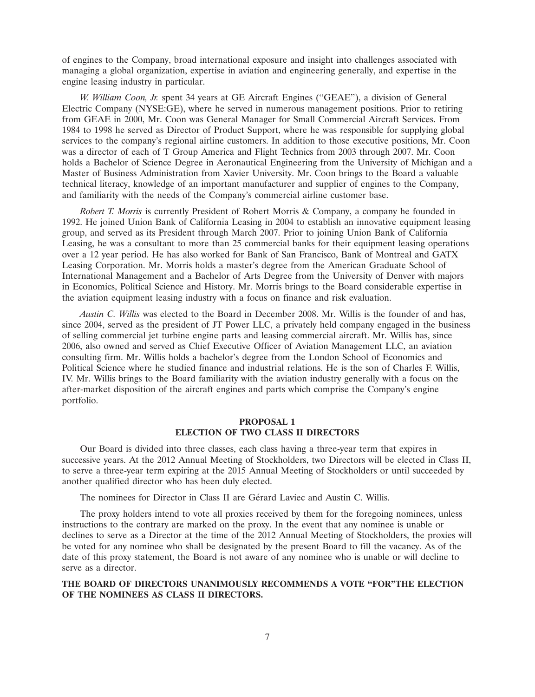of engines to the Company, broad international exposure and insight into challenges associated with managing a global organization, expertise in aviation and engineering generally, and expertise in the engine leasing industry in particular.

*W. William Coon, Jr.* spent 34 years at GE Aircraft Engines (''GEAE''), a division of General Electric Company (NYSE:GE), where he served in numerous management positions. Prior to retiring from GEAE in 2000, Mr. Coon was General Manager for Small Commercial Aircraft Services. From 1984 to 1998 he served as Director of Product Support, where he was responsible for supplying global services to the company's regional airline customers. In addition to those executive positions, Mr. Coon was a director of each of T Group America and Flight Technics from 2003 through 2007. Mr. Coon holds a Bachelor of Science Degree in Aeronautical Engineering from the University of Michigan and a Master of Business Administration from Xavier University. Mr. Coon brings to the Board a valuable technical literacy, knowledge of an important manufacturer and supplier of engines to the Company, and familiarity with the needs of the Company's commercial airline customer base.

*Robert T. Morris* is currently President of Robert Morris & Company, a company he founded in 1992. He joined Union Bank of California Leasing in 2004 to establish an innovative equipment leasing group, and served as its President through March 2007. Prior to joining Union Bank of California Leasing, he was a consultant to more than 25 commercial banks for their equipment leasing operations over a 12 year period. He has also worked for Bank of San Francisco, Bank of Montreal and GATX Leasing Corporation. Mr. Morris holds a master's degree from the American Graduate School of International Management and a Bachelor of Arts Degree from the University of Denver with majors in Economics, Political Science and History. Mr. Morris brings to the Board considerable expertise in the aviation equipment leasing industry with a focus on finance and risk evaluation.

*Austin C. Willis* was elected to the Board in December 2008. Mr. Willis is the founder of and has, since 2004, served as the president of JT Power LLC, a privately held company engaged in the business of selling commercial jet turbine engine parts and leasing commercial aircraft. Mr. Willis has, since 2006, also owned and served as Chief Executive Officer of Aviation Management LLC, an aviation consulting firm. Mr. Willis holds a bachelor's degree from the London School of Economics and Political Science where he studied finance and industrial relations. He is the son of Charles F. Willis, IV. Mr. Willis brings to the Board familiarity with the aviation industry generally with a focus on the after-market disposition of the aircraft engines and parts which comprise the Company's engine portfolio.

## **PROPOSAL 1 ELECTION OF TWO CLASS II DIRECTORS**

Our Board is divided into three classes, each class having a three-year term that expires in successive years. At the 2012 Annual Meeting of Stockholders, two Directors will be elected in Class II, to serve a three-year term expiring at the 2015 Annual Meeting of Stockholders or until succeeded by another qualified director who has been duly elected.

The nominees for Director in Class II are Gérard Laviec and Austin C. Willis.

The proxy holders intend to vote all proxies received by them for the foregoing nominees, unless instructions to the contrary are marked on the proxy. In the event that any nominee is unable or declines to serve as a Director at the time of the 2012 Annual Meeting of Stockholders, the proxies will be voted for any nominee who shall be designated by the present Board to fill the vacancy. As of the date of this proxy statement, the Board is not aware of any nominee who is unable or will decline to serve as a director.

# **THE BOARD OF DIRECTORS UNANIMOUSLY RECOMMENDS A VOTE ''FOR''THE ELECTION OF THE NOMINEES AS CLASS II DIRECTORS.**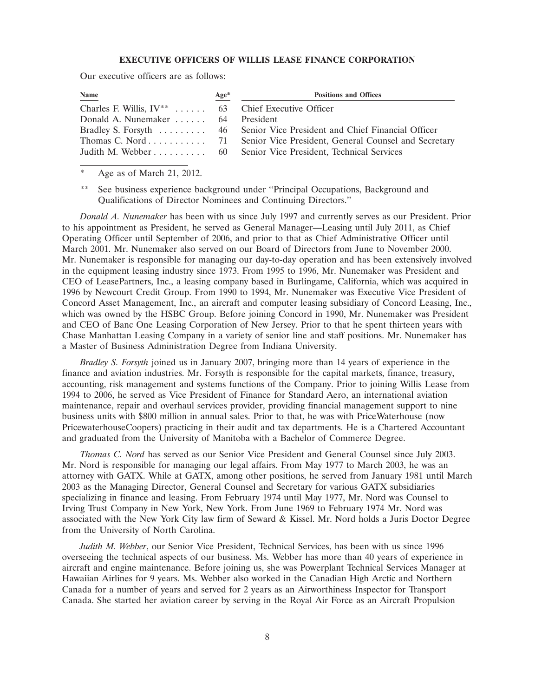## **EXECUTIVE OFFICERS OF WILLIS LEASE FINANCE CORPORATION**

Our executive officers are as follows:

| Name                                                    | $Age*$ | <b>Positions and Offices</b>                                             |
|---------------------------------------------------------|--------|--------------------------------------------------------------------------|
| Charles F. Willis, $IV^{**}$ 63 Chief Executive Officer |        |                                                                          |
| Donald A. Nunemaker 64 President                        |        |                                                                          |
|                                                         |        | Bradley S. Forsyth  46 Senior Vice President and Chief Financial Officer |
|                                                         |        | Thomas C. Nord 71 Senior Vice President, General Counsel and Secretary   |
|                                                         |        | Judith M. Webber 60 Senior Vice President, Technical Services            |

\* Age as of March 21, 2012.

\*\* See business experience background under ''Principal Occupations, Background and Qualifications of Director Nominees and Continuing Directors.''

*Donald A. Nunemaker* has been with us since July 1997 and currently serves as our President. Prior to his appointment as President, he served as General Manager—Leasing until July 2011, as Chief Operating Officer until September of 2006, and prior to that as Chief Administrative Officer until March 2001. Mr. Nunemaker also served on our Board of Directors from June to November 2000. Mr. Nunemaker is responsible for managing our day-to-day operation and has been extensively involved in the equipment leasing industry since 1973. From 1995 to 1996, Mr. Nunemaker was President and CEO of LeasePartners, Inc., a leasing company based in Burlingame, California, which was acquired in 1996 by Newcourt Credit Group. From 1990 to 1994, Mr. Nunemaker was Executive Vice President of Concord Asset Management, Inc., an aircraft and computer leasing subsidiary of Concord Leasing, Inc., which was owned by the HSBC Group. Before joining Concord in 1990, Mr. Nunemaker was President and CEO of Banc One Leasing Corporation of New Jersey. Prior to that he spent thirteen years with Chase Manhattan Leasing Company in a variety of senior line and staff positions. Mr. Nunemaker has a Master of Business Administration Degree from Indiana University.

*Bradley S. Forsyth* joined us in January 2007, bringing more than 14 years of experience in the finance and aviation industries. Mr. Forsyth is responsible for the capital markets, finance, treasury, accounting, risk management and systems functions of the Company. Prior to joining Willis Lease from 1994 to 2006, he served as Vice President of Finance for Standard Aero, an international aviation maintenance, repair and overhaul services provider, providing financial management support to nine business units with \$800 million in annual sales. Prior to that, he was with PriceWaterhouse (now PricewaterhouseCoopers) practicing in their audit and tax departments. He is a Chartered Accountant and graduated from the University of Manitoba with a Bachelor of Commerce Degree.

*Thomas C. Nord* has served as our Senior Vice President and General Counsel since July 2003. Mr. Nord is responsible for managing our legal affairs. From May 1977 to March 2003, he was an attorney with GATX. While at GATX, among other positions, he served from January 1981 until March 2003 as the Managing Director, General Counsel and Secretary for various GATX subsidiaries specializing in finance and leasing. From February 1974 until May 1977, Mr. Nord was Counsel to Irving Trust Company in New York, New York. From June 1969 to February 1974 Mr. Nord was associated with the New York City law firm of Seward & Kissel. Mr. Nord holds a Juris Doctor Degree from the University of North Carolina.

*Judith M. Webber*, our Senior Vice President, Technical Services, has been with us since 1996 overseeing the technical aspects of our business. Ms. Webber has more than 40 years of experience in aircraft and engine maintenance. Before joining us, she was Powerplant Technical Services Manager at Hawaiian Airlines for 9 years. Ms. Webber also worked in the Canadian High Arctic and Northern Canada for a number of years and served for 2 years as an Airworthiness Inspector for Transport Canada. She started her aviation career by serving in the Royal Air Force as an Aircraft Propulsion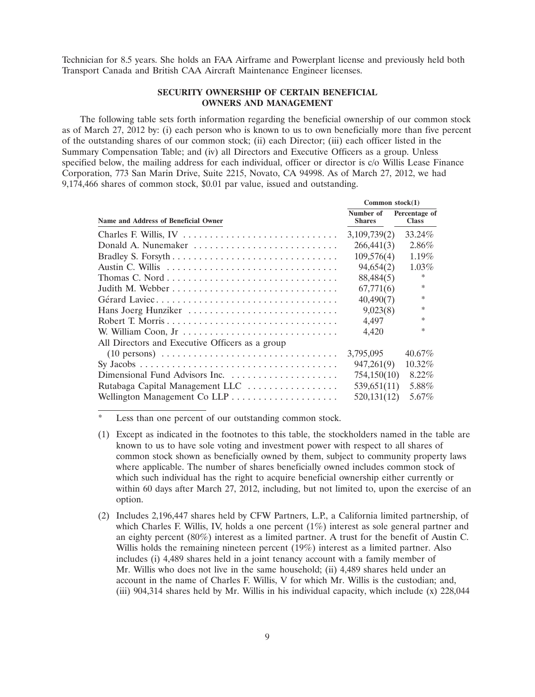Technician for 8.5 years. She holds an FAA Airframe and Powerplant license and previously held both Transport Canada and British CAA Aircraft Maintenance Engineer licenses.

# **SECURITY OWNERSHIP OF CERTAIN BENEFICIAL OWNERS AND MANAGEMENT**

The following table sets forth information regarding the beneficial ownership of our common stock as of March 27, 2012 by: (i) each person who is known to us to own beneficially more than five percent of the outstanding shares of our common stock; (ii) each Director; (iii) each officer listed in the Summary Compensation Table; and (iv) all Directors and Executive Officers as a group. Unless specified below, the mailing address for each individual, officer or director is c/o Willis Lease Finance Corporation, 773 San Marin Drive, Suite 2215, Novato, CA 94998. As of March 27, 2012, we had 9,174,466 shares of common stock, \$0.01 par value, issued and outstanding.

|                                                                                          | Common $stock(1)$          |                               |  |  |
|------------------------------------------------------------------------------------------|----------------------------|-------------------------------|--|--|
| <b>Name and Address of Beneficial Owner</b>                                              | Number of<br><b>Shares</b> | Percentage of<br><b>Class</b> |  |  |
|                                                                                          | 3,109,739(2)               | 33.24%                        |  |  |
|                                                                                          | 266,441(3)                 | $2.86\%$                      |  |  |
|                                                                                          | 109,576(4)                 | $1.19\%$                      |  |  |
|                                                                                          | 94,654(2)                  | $1.03\%$                      |  |  |
|                                                                                          | 88,484(5)                  | ∗                             |  |  |
|                                                                                          | 67,771(6)                  | ∗                             |  |  |
| Gérard Laviec                                                                            | 40,490(7)                  | ∗                             |  |  |
| Hans Joerg Hunziker                                                                      | 9,023(8)                   | *                             |  |  |
|                                                                                          | 4,497                      | $\ast$                        |  |  |
| W. William Coon, Jr                                                                      | 4,420                      | $\ast$                        |  |  |
| All Directors and Executive Officers as a group                                          |                            |                               |  |  |
| $(10 \text{ persons}) \dots \dots \dots \dots \dots \dots \dots \dots \dots \dots \dots$ | 3,795,095                  | $40.67\%$                     |  |  |
|                                                                                          | 947,261(9)                 | $10.32\%$                     |  |  |
|                                                                                          | 754,150(10)                | 8.22%                         |  |  |
| Rutabaga Capital Management LLC                                                          | 539,651(11)                | 5.88%                         |  |  |
|                                                                                          | 520, 131 (12)              | 5.67%                         |  |  |

Less than one percent of our outstanding common stock.

- (1) Except as indicated in the footnotes to this table, the stockholders named in the table are known to us to have sole voting and investment power with respect to all shares of common stock shown as beneficially owned by them, subject to community property laws where applicable. The number of shares beneficially owned includes common stock of which such individual has the right to acquire beneficial ownership either currently or within 60 days after March 27, 2012, including, but not limited to, upon the exercise of an option.
- (2) Includes 2,196,447 shares held by CFW Partners, L.P., a California limited partnership, of which Charles F. Willis, IV, holds a one percent (1%) interest as sole general partner and an eighty percent (80%) interest as a limited partner. A trust for the benefit of Austin C. Willis holds the remaining nineteen percent (19%) interest as a limited partner. Also includes (i) 4,489 shares held in a joint tenancy account with a family member of Mr. Willis who does not live in the same household; (ii) 4,489 shares held under an account in the name of Charles F. Willis, V for which Mr. Willis is the custodian; and, (iii) 904,314 shares held by Mr. Willis in his individual capacity, which include (x) 228,044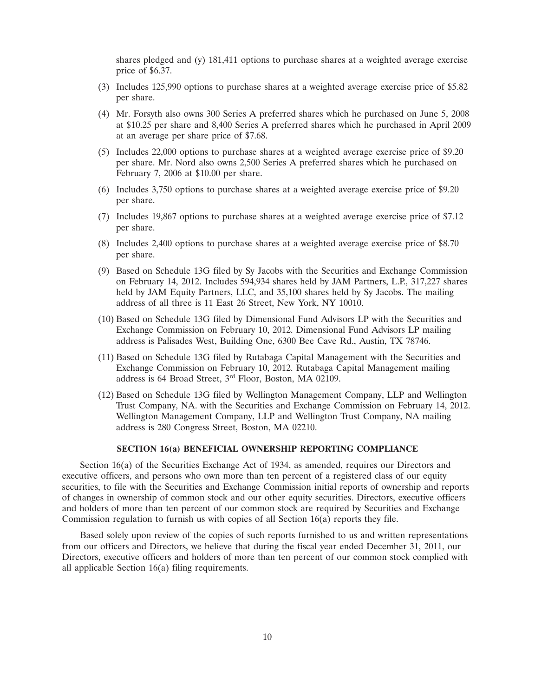shares pledged and (y) 181,411 options to purchase shares at a weighted average exercise price of \$6.37.

- (3) Includes 125,990 options to purchase shares at a weighted average exercise price of \$5.82 per share.
- (4) Mr. Forsyth also owns 300 Series A preferred shares which he purchased on June 5, 2008 at \$10.25 per share and 8,400 Series A preferred shares which he purchased in April 2009 at an average per share price of \$7.68.
- (5) Includes 22,000 options to purchase shares at a weighted average exercise price of \$9.20 per share. Mr. Nord also owns 2,500 Series A preferred shares which he purchased on February 7, 2006 at \$10.00 per share.
- (6) Includes 3,750 options to purchase shares at a weighted average exercise price of \$9.20 per share.
- (7) Includes 19,867 options to purchase shares at a weighted average exercise price of \$7.12 per share.
- (8) Includes 2,400 options to purchase shares at a weighted average exercise price of \$8.70 per share.
- (9) Based on Schedule 13G filed by Sy Jacobs with the Securities and Exchange Commission on February 14, 2012. Includes 594,934 shares held by JAM Partners, L.P., 317,227 shares held by JAM Equity Partners, LLC, and 35,100 shares held by Sy Jacobs. The mailing address of all three is 11 East 26 Street, New York, NY 10010.
- (10) Based on Schedule 13G filed by Dimensional Fund Advisors LP with the Securities and Exchange Commission on February 10, 2012. Dimensional Fund Advisors LP mailing address is Palisades West, Building One, 6300 Bee Cave Rd., Austin, TX 78746.
- (11) Based on Schedule 13G filed by Rutabaga Capital Management with the Securities and Exchange Commission on February 10, 2012. Rutabaga Capital Management mailing address is 64 Broad Street, 3rd Floor, Boston, MA 02109.
- (12) Based on Schedule 13G filed by Wellington Management Company, LLP and Wellington Trust Company, NA. with the Securities and Exchange Commission on February 14, 2012. Wellington Management Company, LLP and Wellington Trust Company, NA mailing address is 280 Congress Street, Boston, MA 02210.

# **SECTION 16(a) BENEFICIAL OWNERSHIP REPORTING COMPLIANCE**

Section 16(a) of the Securities Exchange Act of 1934, as amended, requires our Directors and executive officers, and persons who own more than ten percent of a registered class of our equity securities, to file with the Securities and Exchange Commission initial reports of ownership and reports of changes in ownership of common stock and our other equity securities. Directors, executive officers and holders of more than ten percent of our common stock are required by Securities and Exchange Commission regulation to furnish us with copies of all Section 16(a) reports they file.

Based solely upon review of the copies of such reports furnished to us and written representations from our officers and Directors, we believe that during the fiscal year ended December 31, 2011, our Directors, executive officers and holders of more than ten percent of our common stock complied with all applicable Section 16(a) filing requirements.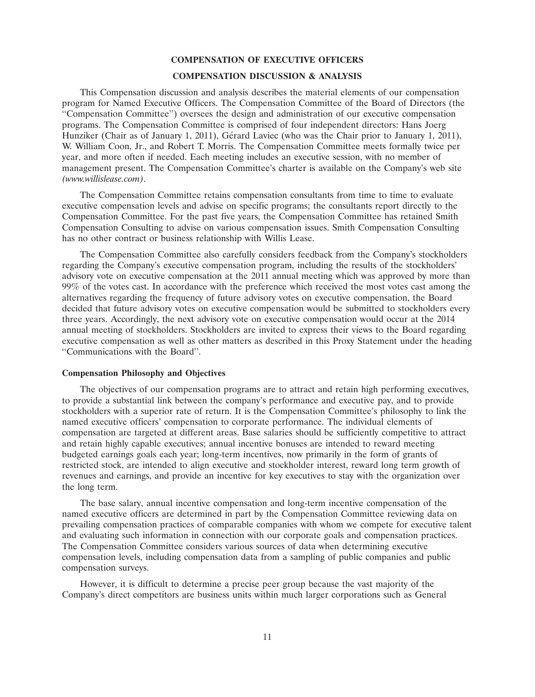#### **COMPENSATION OF EXECUTIVE OFFICERS**

## **COMPENSATION DISCUSSION & ANALYSIS**

This Compensation discussion and analysis describes the material elements of our compensation program for Named Executive Officers. The Compensation Committee of the Board of Directors (the ''Compensation Committee'') oversees the design and administration of our executive compensation programs. The Compensation Committee is comprised of four independent directors: Hans Joerg Hunziker (Chair as of January 1, 2011), Gérard Laviec (who was the Chair prior to January 1, 2011), W. William Coon, Jr., and Robert T. Morris. The Compensation Committee meets formally twice per year, and more often if needed. Each meeting includes an executive session, with no member of management present. The Compensation Committee's charter is available on the Company's web site *(www.willislease.com)*.

The Compensation Committee retains compensation consultants from time to time to evaluate executive compensation levels and advise on specific programs; the consultants report directly to the Compensation Committee. For the past five years, the Compensation Committee has retained Smith Compensation Consulting to advise on various compensation issues. Smith Compensation Consulting has no other contract or business relationship with Willis Lease.

The Compensation Committee also carefully considers feedback from the Company's stockholders regarding the Company's executive compensation program, including the results of the stockholders' advisory vote on executive compensation at the 2011 annual meeting which was approved by more than 99% of the votes cast. In accordance with the preference which received the most votes cast among the alternatives regarding the frequency of future advisory votes on executive compensation, the Board decided that future advisory votes on executive compensation would be submitted to stockholders every three years. Accordingly, the next advisory vote on executive compensation would occur at the 2014 annual meeting of stockholders. Stockholders are invited to express their views to the Board regarding executive compensation as well as other matters as described in this Proxy Statement under the heading ''Communications with the Board''.

## **Compensation Philosophy and Objectives**

The objectives of our compensation programs are to attract and retain high performing executives, to provide a substantial link between the company's performance and executive pay, and to provide stockholders with a superior rate of return. It is the Compensation Committee's philosophy to link the named executive officers' compensation to corporate performance. The individual elements of compensation are targeted at different areas. Base salaries should be sufficiently competitive to attract and retain highly capable executives; annual incentive bonuses are intended to reward meeting budgeted earnings goals each year; long-term incentives, now primarily in the form of grants of restricted stock, are intended to align executive and stockholder interest, reward long term growth of revenues and earnings, and provide an incentive for key executives to stay with the organization over the long term.

The base salary, annual incentive compensation and long-term incentive compensation of the named executive officers are determined in part by the Compensation Committee reviewing data on prevailing compensation practices of comparable companies with whom we compete for executive talent and evaluating such information in connection with our corporate goals and compensation practices. The Compensation Committee considers various sources of data when determining executive compensation levels, including compensation data from a sampling of public companies and public compensation surveys.

However, it is difficult to determine a precise peer group because the vast majority of the Company's direct competitors are business units within much larger corporations such as General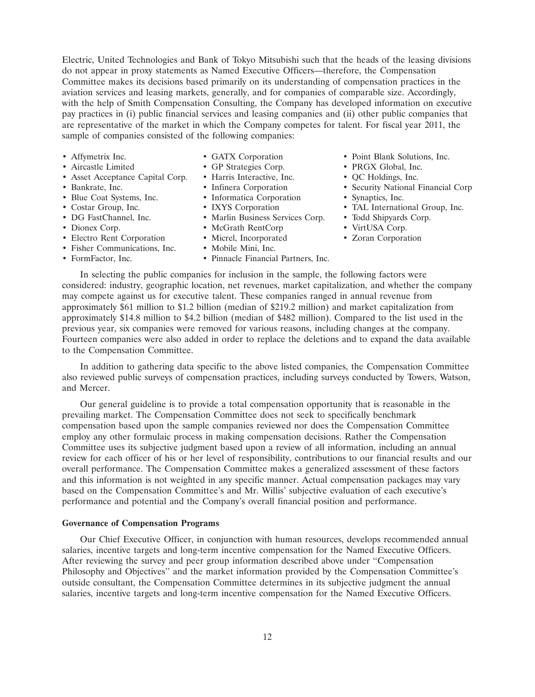Electric, United Technologies and Bank of Tokyo Mitsubishi such that the heads of the leasing divisions do not appear in proxy statements as Named Executive Officers—therefore, the Compensation Committee makes its decisions based primarily on its understanding of compensation practices in the aviation services and leasing markets, generally, and for companies of comparable size. Accordingly, with the help of Smith Compensation Consulting, the Company has developed information on executive pay practices in (i) public financial services and leasing companies and (ii) other public companies that are representative of the market in which the Company competes for talent. For fiscal year 2011, the sample of companies consisted of the following companies:

- 
- 
- Asset Acceptance Capital Corp. Harris Interactive, Inc. OC Holdings, Inc.
- 
- 
- 
- 
- 
- Electro Rent Corporation Micrel, Incorporated Zoran Corporation
- Fisher Communications, Inc. Mobile Mini, Inc.
- 
- 
- Aircastle Limited GP Strategies Corp.
	-
	-
- Blue Coat Systems, Inc. Informatica Corporation Synaptics, Inc.
	-
- DG FastChannel, Inc. • Marlin Business Services Corp. Todd Shipyards Corp.
- Dionex Corp. McGrath RentCorp VirtUSA Corp.
	-
	-
- FormFactor, Inc. • Pinnacle Financial Partners, Inc.
- Affymetrix Inc. GATX Corporation Point Blank Solutions, Inc.
	-
	-
- Bankrate, Inc. Infinera Corporation Security National Financial Corp
	-
- Costar Group, Inc. IXYS Corporation TAL International Group, Inc.
	-
	-
	-

In selecting the public companies for inclusion in the sample, the following factors were considered: industry, geographic location, net revenues, market capitalization, and whether the company may compete against us for executive talent. These companies ranged in annual revenue from approximately \$61 million to \$1.2 billion (median of \$219.2 million) and market capitalization from approximately \$14.8 million to \$4.2 billion (median of \$482 million). Compared to the list used in the previous year, six companies were removed for various reasons, including changes at the company. Fourteen companies were also added in order to replace the deletions and to expand the data available to the Compensation Committee.

In addition to gathering data specific to the above listed companies, the Compensation Committee also reviewed public surveys of compensation practices, including surveys conducted by Towers, Watson, and Mercer.

Our general guideline is to provide a total compensation opportunity that is reasonable in the prevailing market. The Compensation Committee does not seek to specifically benchmark compensation based upon the sample companies reviewed nor does the Compensation Committee employ any other formulaic process in making compensation decisions. Rather the Compensation Committee uses its subjective judgment based upon a review of all information, including an annual review for each officer of his or her level of responsibility, contributions to our financial results and our overall performance. The Compensation Committee makes a generalized assessment of these factors and this information is not weighted in any specific manner. Actual compensation packages may vary based on the Compensation Committee's and Mr. Willis' subjective evaluation of each executive's performance and potential and the Company's overall financial position and performance.

## **Governance of Compensation Programs**

Our Chief Executive Officer, in conjunction with human resources, develops recommended annual salaries, incentive targets and long-term incentive compensation for the Named Executive Officers. After reviewing the survey and peer group information described above under ''Compensation Philosophy and Objectives'' and the market information provided by the Compensation Committee's outside consultant, the Compensation Committee determines in its subjective judgment the annual salaries, incentive targets and long-term incentive compensation for the Named Executive Officers.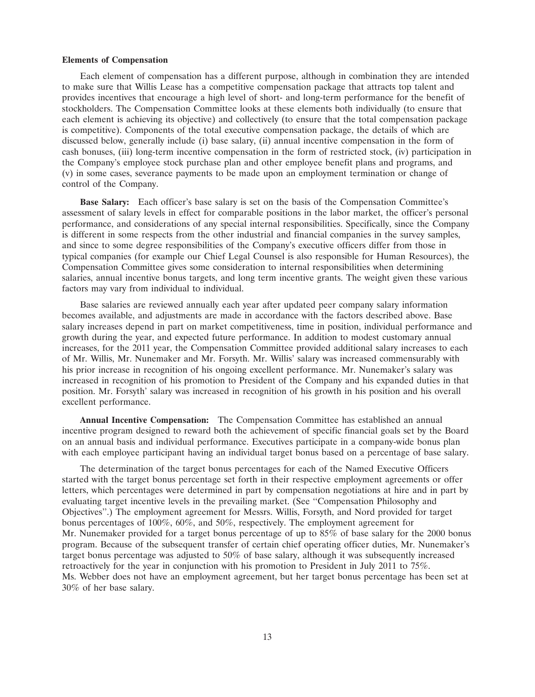#### **Elements of Compensation**

Each element of compensation has a different purpose, although in combination they are intended to make sure that Willis Lease has a competitive compensation package that attracts top talent and provides incentives that encourage a high level of short- and long-term performance for the benefit of stockholders. The Compensation Committee looks at these elements both individually (to ensure that each element is achieving its objective) and collectively (to ensure that the total compensation package is competitive). Components of the total executive compensation package, the details of which are discussed below, generally include (i) base salary, (ii) annual incentive compensation in the form of cash bonuses, (iii) long-term incentive compensation in the form of restricted stock, (iv) participation in the Company's employee stock purchase plan and other employee benefit plans and programs, and (v) in some cases, severance payments to be made upon an employment termination or change of control of the Company.

**Base Salary:** Each officer's base salary is set on the basis of the Compensation Committee's assessment of salary levels in effect for comparable positions in the labor market, the officer's personal performance, and considerations of any special internal responsibilities. Specifically, since the Company is different in some respects from the other industrial and financial companies in the survey samples, and since to some degree responsibilities of the Company's executive officers differ from those in typical companies (for example our Chief Legal Counsel is also responsible for Human Resources), the Compensation Committee gives some consideration to internal responsibilities when determining salaries, annual incentive bonus targets, and long term incentive grants. The weight given these various factors may vary from individual to individual.

Base salaries are reviewed annually each year after updated peer company salary information becomes available, and adjustments are made in accordance with the factors described above. Base salary increases depend in part on market competitiveness, time in position, individual performance and growth during the year, and expected future performance. In addition to modest customary annual increases, for the 2011 year, the Compensation Committee provided additional salary increases to each of Mr. Willis, Mr. Nunemaker and Mr. Forsyth. Mr. Willis' salary was increased commensurably with his prior increase in recognition of his ongoing excellent performance. Mr. Nunemaker's salary was increased in recognition of his promotion to President of the Company and his expanded duties in that position. Mr. Forsyth' salary was increased in recognition of his growth in his position and his overall excellent performance.

**Annual Incentive Compensation:** The Compensation Committee has established an annual incentive program designed to reward both the achievement of specific financial goals set by the Board on an annual basis and individual performance. Executives participate in a company-wide bonus plan with each employee participant having an individual target bonus based on a percentage of base salary.

The determination of the target bonus percentages for each of the Named Executive Officers started with the target bonus percentage set forth in their respective employment agreements or offer letters, which percentages were determined in part by compensation negotiations at hire and in part by evaluating target incentive levels in the prevailing market. (See ''Compensation Philosophy and Objectives''.) The employment agreement for Messrs. Willis, Forsyth, and Nord provided for target bonus percentages of 100%, 60%, and 50%, respectively. The employment agreement for Mr. Nunemaker provided for a target bonus percentage of up to 85% of base salary for the 2000 bonus program. Because of the subsequent transfer of certain chief operating officer duties, Mr. Nunemaker's target bonus percentage was adjusted to 50% of base salary, although it was subsequently increased retroactively for the year in conjunction with his promotion to President in July 2011 to 75%. Ms. Webber does not have an employment agreement, but her target bonus percentage has been set at 30% of her base salary.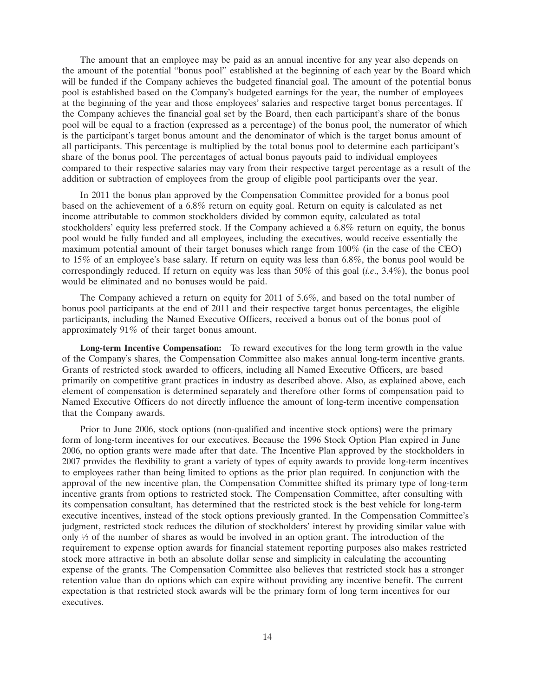The amount that an employee may be paid as an annual incentive for any year also depends on the amount of the potential ''bonus pool'' established at the beginning of each year by the Board which will be funded if the Company achieves the budgeted financial goal. The amount of the potential bonus pool is established based on the Company's budgeted earnings for the year, the number of employees at the beginning of the year and those employees' salaries and respective target bonus percentages. If the Company achieves the financial goal set by the Board, then each participant's share of the bonus pool will be equal to a fraction (expressed as a percentage) of the bonus pool, the numerator of which is the participant's target bonus amount and the denominator of which is the target bonus amount of all participants. This percentage is multiplied by the total bonus pool to determine each participant's share of the bonus pool. The percentages of actual bonus payouts paid to individual employees compared to their respective salaries may vary from their respective target percentage as a result of the addition or subtraction of employees from the group of eligible pool participants over the year.

In 2011 the bonus plan approved by the Compensation Committee provided for a bonus pool based on the achievement of a 6.8% return on equity goal. Return on equity is calculated as net income attributable to common stockholders divided by common equity, calculated as total stockholders' equity less preferred stock. If the Company achieved a 6.8% return on equity, the bonus pool would be fully funded and all employees, including the executives, would receive essentially the maximum potential amount of their target bonuses which range from 100% (in the case of the CEO) to 15% of an employee's base salary. If return on equity was less than 6.8%, the bonus pool would be correspondingly reduced. If return on equity was less than 50% of this goal (*i.e*., 3.4%), the bonus pool would be eliminated and no bonuses would be paid.

The Company achieved a return on equity for 2011 of 5.6%, and based on the total number of bonus pool participants at the end of 2011 and their respective target bonus percentages, the eligible participants, including the Named Executive Officers, received a bonus out of the bonus pool of approximately 91% of their target bonus amount.

**Long-term Incentive Compensation:** To reward executives for the long term growth in the value of the Company's shares, the Compensation Committee also makes annual long-term incentive grants. Grants of restricted stock awarded to officers, including all Named Executive Officers, are based primarily on competitive grant practices in industry as described above. Also, as explained above, each element of compensation is determined separately and therefore other forms of compensation paid to Named Executive Officers do not directly influence the amount of long-term incentive compensation that the Company awards.

Prior to June 2006, stock options (non-qualified and incentive stock options) were the primary form of long-term incentives for our executives. Because the 1996 Stock Option Plan expired in June 2006, no option grants were made after that date. The Incentive Plan approved by the stockholders in 2007 provides the flexibility to grant a variety of types of equity awards to provide long-term incentives to employees rather than being limited to options as the prior plan required. In conjunction with the approval of the new incentive plan, the Compensation Committee shifted its primary type of long-term incentive grants from options to restricted stock. The Compensation Committee, after consulting with its compensation consultant, has determined that the restricted stock is the best vehicle for long-term executive incentives, instead of the stock options previously granted. In the Compensation Committee's judgment, restricted stock reduces the dilution of stockholders' interest by providing similar value with only 1⁄3 of the number of shares as would be involved in an option grant. The introduction of the requirement to expense option awards for financial statement reporting purposes also makes restricted stock more attractive in both an absolute dollar sense and simplicity in calculating the accounting expense of the grants. The Compensation Committee also believes that restricted stock has a stronger retention value than do options which can expire without providing any incentive benefit. The current expectation is that restricted stock awards will be the primary form of long term incentives for our executives.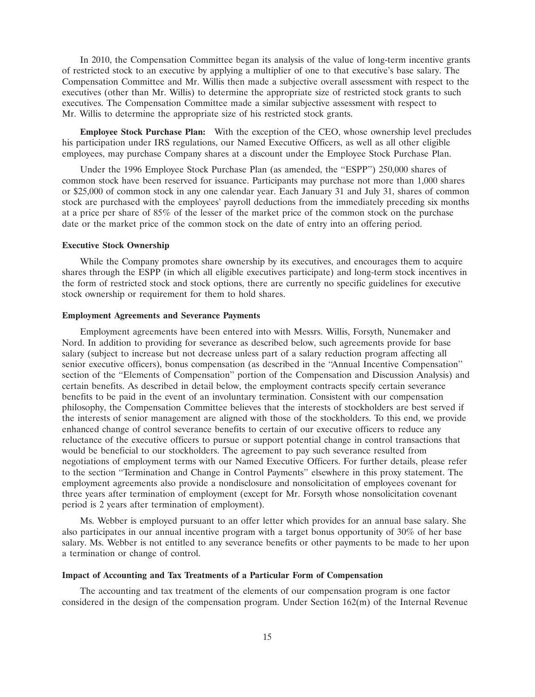In 2010, the Compensation Committee began its analysis of the value of long-term incentive grants of restricted stock to an executive by applying a multiplier of one to that executive's base salary. The Compensation Committee and Mr. Willis then made a subjective overall assessment with respect to the executives (other than Mr. Willis) to determine the appropriate size of restricted stock grants to such executives. The Compensation Committee made a similar subjective assessment with respect to Mr. Willis to determine the appropriate size of his restricted stock grants.

**Employee Stock Purchase Plan:** With the exception of the CEO, whose ownership level precludes his participation under IRS regulations, our Named Executive Officers, as well as all other eligible employees, may purchase Company shares at a discount under the Employee Stock Purchase Plan.

Under the 1996 Employee Stock Purchase Plan (as amended, the ''ESPP'') 250,000 shares of common stock have been reserved for issuance. Participants may purchase not more than 1,000 shares or \$25,000 of common stock in any one calendar year. Each January 31 and July 31, shares of common stock are purchased with the employees' payroll deductions from the immediately preceding six months at a price per share of 85% of the lesser of the market price of the common stock on the purchase date or the market price of the common stock on the date of entry into an offering period.

## **Executive Stock Ownership**

While the Company promotes share ownership by its executives, and encourages them to acquire shares through the ESPP (in which all eligible executives participate) and long-term stock incentives in the form of restricted stock and stock options, there are currently no specific guidelines for executive stock ownership or requirement for them to hold shares.

#### **Employment Agreements and Severance Payments**

Employment agreements have been entered into with Messrs. Willis, Forsyth, Nunemaker and Nord. In addition to providing for severance as described below, such agreements provide for base salary (subject to increase but not decrease unless part of a salary reduction program affecting all senior executive officers), bonus compensation (as described in the ''Annual Incentive Compensation'' section of the ''Elements of Compensation'' portion of the Compensation and Discussion Analysis) and certain benefits. As described in detail below, the employment contracts specify certain severance benefits to be paid in the event of an involuntary termination. Consistent with our compensation philosophy, the Compensation Committee believes that the interests of stockholders are best served if the interests of senior management are aligned with those of the stockholders. To this end, we provide enhanced change of control severance benefits to certain of our executive officers to reduce any reluctance of the executive officers to pursue or support potential change in control transactions that would be beneficial to our stockholders. The agreement to pay such severance resulted from negotiations of employment terms with our Named Executive Officers. For further details, please refer to the section ''Termination and Change in Control Payments'' elsewhere in this proxy statement. The employment agreements also provide a nondisclosure and nonsolicitation of employees covenant for three years after termination of employment (except for Mr. Forsyth whose nonsolicitation covenant period is 2 years after termination of employment).

Ms. Webber is employed pursuant to an offer letter which provides for an annual base salary. She also participates in our annual incentive program with a target bonus opportunity of 30% of her base salary. Ms. Webber is not entitled to any severance benefits or other payments to be made to her upon a termination or change of control.

#### **Impact of Accounting and Tax Treatments of a Particular Form of Compensation**

The accounting and tax treatment of the elements of our compensation program is one factor considered in the design of the compensation program. Under Section 162(m) of the Internal Revenue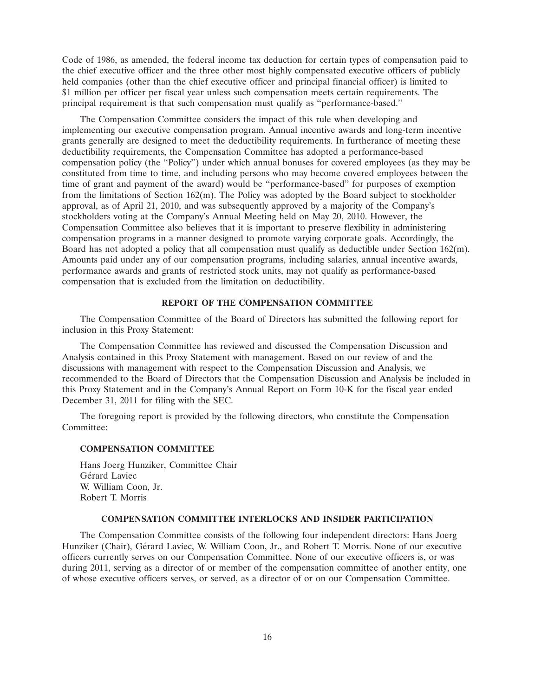Code of 1986, as amended, the federal income tax deduction for certain types of compensation paid to the chief executive officer and the three other most highly compensated executive officers of publicly held companies (other than the chief executive officer and principal financial officer) is limited to \$1 million per officer per fiscal year unless such compensation meets certain requirements. The principal requirement is that such compensation must qualify as ''performance-based.''

The Compensation Committee considers the impact of this rule when developing and implementing our executive compensation program. Annual incentive awards and long-term incentive grants generally are designed to meet the deductibility requirements. In furtherance of meeting these deductibility requirements, the Compensation Committee has adopted a performance-based compensation policy (the ''Policy'') under which annual bonuses for covered employees (as they may be constituted from time to time, and including persons who may become covered employees between the time of grant and payment of the award) would be ''performance-based'' for purposes of exemption from the limitations of Section 162(m). The Policy was adopted by the Board subject to stockholder approval, as of April 21, 2010, and was subsequently approved by a majority of the Company's stockholders voting at the Company's Annual Meeting held on May 20, 2010. However, the Compensation Committee also believes that it is important to preserve flexibility in administering compensation programs in a manner designed to promote varying corporate goals. Accordingly, the Board has not adopted a policy that all compensation must qualify as deductible under Section 162(m). Amounts paid under any of our compensation programs, including salaries, annual incentive awards, performance awards and grants of restricted stock units, may not qualify as performance-based compensation that is excluded from the limitation on deductibility.

## **REPORT OF THE COMPENSATION COMMITTEE**

The Compensation Committee of the Board of Directors has submitted the following report for inclusion in this Proxy Statement:

The Compensation Committee has reviewed and discussed the Compensation Discussion and Analysis contained in this Proxy Statement with management. Based on our review of and the discussions with management with respect to the Compensation Discussion and Analysis, we recommended to the Board of Directors that the Compensation Discussion and Analysis be included in this Proxy Statement and in the Company's Annual Report on Form 10-K for the fiscal year ended December 31, 2011 for filing with the SEC.

The foregoing report is provided by the following directors, who constitute the Compensation Committee:

## **COMPENSATION COMMITTEE**

Hans Joerg Hunziker, Committee Chair Gérard Laviec W. William Coon, Jr. Robert T. Morris

### **COMPENSATION COMMITTEE INTERLOCKS AND INSIDER PARTICIPATION**

The Compensation Committee consists of the following four independent directors: Hans Joerg Hunziker (Chair), Gérard Laviec, W. William Coon, Jr., and Robert T. Morris. None of our executive officers currently serves on our Compensation Committee. None of our executive officers is, or was during 2011, serving as a director of or member of the compensation committee of another entity, one of whose executive officers serves, or served, as a director of or on our Compensation Committee.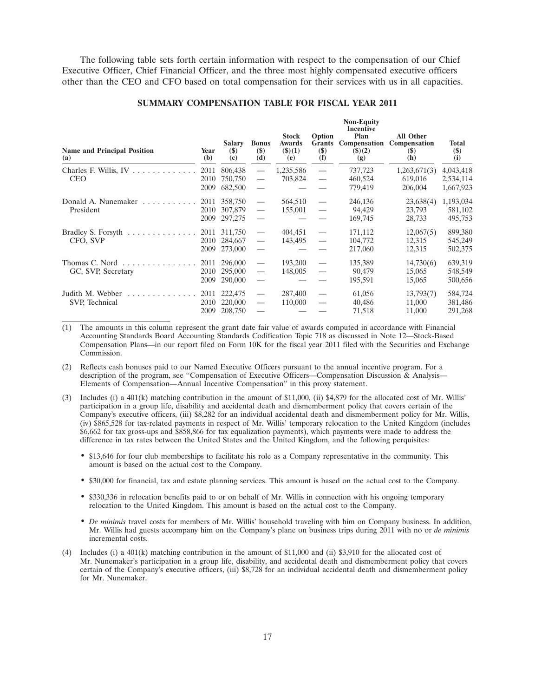The following table sets forth certain information with respect to the compensation of our Chief Executive Officer, Chief Financial Officer, and the three most highly compensated executive officers other than the CEO and CFO based on total compensation for their services with us in all capacities.

#### **SUMMARY COMPENSATION TABLE FOR FISCAL YEAR 2011**

| <b>Name and Principal Position</b><br>(a)        | Year<br>( <b>b</b> ) | <b>Salary</b><br>$(\$)$<br>(c) | <b>Bonus</b><br>$(\$)$<br>(d) | <b>Stock</b><br>Awards<br>(3)(1)<br>(e) | Option<br>Grants<br>$($)$<br>(f) | <b>Non-Equity</b><br><b>Incentive</b><br>Plan<br>Compensation<br>$($ \$ $)(2)$<br>(g) | All Other<br>Compensation<br><b>(\$)</b><br>(h) | <b>Total</b><br>$(\$)$<br>(i) |
|--------------------------------------------------|----------------------|--------------------------------|-------------------------------|-----------------------------------------|----------------------------------|---------------------------------------------------------------------------------------|-------------------------------------------------|-------------------------------|
|                                                  |                      | 2011 806,438                   | $\overline{\phantom{m}}$      | 1,235,586                               |                                  | 737,723                                                                               | 1,263,671(3)                                    | 4,043,418                     |
| <b>CEO</b>                                       | 2010                 | 750,750                        |                               | 703,824                                 |                                  | 460,524                                                                               | 619,016                                         | 2,534,114                     |
|                                                  | 2009                 | 682,500                        |                               |                                         |                                  | 779,419                                                                               | 206,004                                         | 1,667,923                     |
| Donald A. Nunemaker                              |                      | 2011 358,750                   | $\overline{\phantom{m}}$      | 564,510                                 | $\overline{\phantom{m}}$         | 246,136                                                                               | 23,638(4)                                       | 1,193,034                     |
| President                                        | 2010                 | 307,879                        |                               | 155,001                                 |                                  | 94,429                                                                                | 23,793                                          | 581,102                       |
|                                                  | 2009                 | 297,275                        |                               |                                         |                                  | 169,745                                                                               | 28,733                                          | 495,753                       |
| Bradley S. Forsyth $\ldots \ldots \ldots \ldots$ |                      | 2011 311,750                   |                               | 404,451                                 |                                  | 171,112                                                                               | 12,067(5)                                       | 899,380                       |
| CFO, SVP                                         | 2010                 | 284,667                        |                               | 143,495                                 | $\overline{\phantom{m}}$         | 104,772                                                                               | 12,315                                          | 545,249                       |
|                                                  |                      | 2009 273,000                   |                               |                                         |                                  | 217,060                                                                               | 12,315                                          | 502,375                       |
| Thomas C. Nord $\ldots$ ,                        |                      | 2011 296,000                   | $\overline{\phantom{m}}$      | 193,200                                 |                                  | 135,389                                                                               | 14,730(6)                                       | 639,319                       |
| GC, SVP, Secretary                               | 2010                 | 295,000                        |                               | 148,005                                 |                                  | 90,479                                                                                | 15,065                                          | 548,549                       |
|                                                  | 2009                 | 290,000                        | $\overline{\phantom{m}}$      |                                         |                                  | 195,591                                                                               | 15,065                                          | 500,656                       |
| Judith M. Webber<br>.                            | 2011                 | 222,475                        | $\overline{\phantom{m}}$      | 287,400                                 |                                  | 61,056                                                                                | 13,793(7)                                       | 584,724                       |
| SVP, Technical                                   | 2010                 | 220,000                        |                               | 110,000                                 | $\qquad \qquad$                  | 40,486                                                                                | 11,000                                          | 381,486                       |
|                                                  | 2009                 | 208,750                        |                               |                                         |                                  | 71,518                                                                                | 11,000                                          | 291,268                       |

(1) The amounts in this column represent the grant date fair value of awards computed in accordance with Financial Accounting Standards Board Accounting Standards Codification Topic 718 as discussed in Note 12—Stock-Based Compensation Plans—in our report filed on Form 10K for the fiscal year 2011 filed with the Securities and Exchange Commission.

- (2) Reflects cash bonuses paid to our Named Executive Officers pursuant to the annual incentive program. For a description of the program, see "Compensation of Executive Officers—Compensation Discussion & Analysis— Elements of Compensation—Annual Incentive Compensation'' in this proxy statement.
- (3) Includes (i) a 401(k) matching contribution in the amount of \$11,000, (ii) \$4,879 for the allocated cost of Mr. Willis' participation in a group life, disability and accidental death and dismemberment policy that covers certain of the Company's executive officers, (iii) \$8,282 for an individual accidental death and dismemberment policy for Mr. Willis, (iv) \$865,528 for tax-related payments in respect of Mr. Willis' temporary relocation to the United Kingdom (includes \$6,662 for tax gross-ups and \$858,866 for tax equalization payments), which payments were made to address the difference in tax rates between the United States and the United Kingdom, and the following perquisites:
	- \$13,646 for four club memberships to facilitate his role as a Company representative in the community. This amount is based on the actual cost to the Company.
	- \$30,000 for financial, tax and estate planning services. This amount is based on the actual cost to the Company.
	- \$330,336 in relocation benefits paid to or on behalf of Mr. Willis in connection with his ongoing temporary relocation to the United Kingdom. This amount is based on the actual cost to the Company.
	- *De minimis* travel costs for members of Mr. Willis' household traveling with him on Company business. In addition, Mr. Willis had guests accompany him on the Company's plane on business trips during 2011 with no or *de minimis* incremental costs.
- (4) Includes (i) a 401(k) matching contribution in the amount of \$11,000 and (ii) \$3,910 for the allocated cost of Mr. Nunemaker's participation in a group life, disability, and accidental death and dismemberment policy that covers certain of the Company's executive officers, (iii) \$8,728 for an individual accidental death and dismemberment policy for Mr. Nunemaker.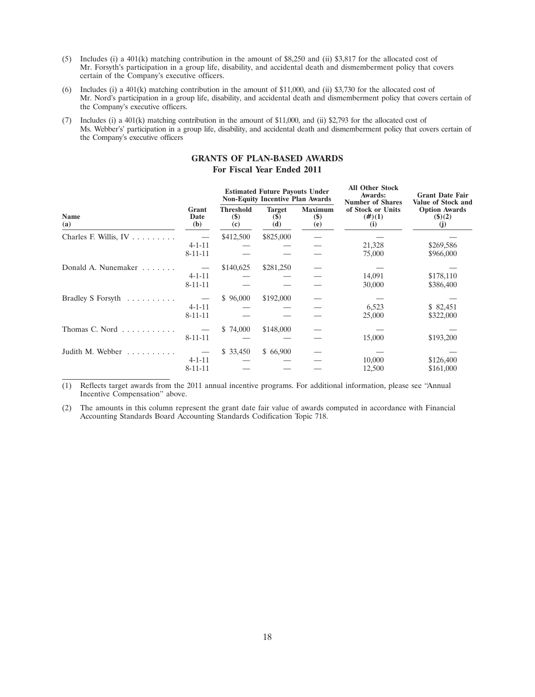- (5) Includes (i) a 401(k) matching contribution in the amount of \$8,250 and (ii) \$3,817 for the allocated cost of Mr. Forsyth's participation in a group life, disability, and accidental death and dismemberment policy that covers certain of the Company's executive officers.
- (6) Includes (i) a 401(k) matching contribution in the amount of \$11,000, and (ii) \$3,730 for the allocated cost of Mr. Nord's participation in a group life, disability, and accidental death and dismemberment policy that covers certain of the Company's executive officers.
- (7) Includes (i) a 401(k) matching contribution in the amount of \$11,000, and (ii) \$2,793 for the allocated cost of Ms. Webber's' participation in a group life, disability, and accidental death and dismemberment policy that covers certain of the Company's executive officers

|                                       |                               |                                   | <b>Estimated Future Payouts Under</b><br><b>Non-Equity Incentive Plan Awards</b> |                                 | <b>All Other Stock</b><br><b>Awards:</b><br><b>Number of Shares</b> | <b>Grant Date Fair</b><br><b>Value of Stock and</b> |
|---------------------------------------|-------------------------------|-----------------------------------|----------------------------------------------------------------------------------|---------------------------------|---------------------------------------------------------------------|-----------------------------------------------------|
| <b>Name</b><br>(a)                    | Grant<br>Date<br>( <b>b</b> ) | <b>Threshold</b><br>$(\$)$<br>(c) | <b>Target</b><br><b>(S)</b><br>(d)                                               | <b>Maximum</b><br>$(\$)$<br>(e) | of Stock or Units<br>$(\#)(1)$<br>(i)                               | <b>Option Awards</b><br>$($ \$ $)(2)$<br>(j)        |
| Charles F. Willis, $IV \ldots \ldots$ |                               | \$412,500                         | \$825,000                                                                        |                                 |                                                                     |                                                     |
|                                       | $4 - 1 - 11$                  |                                   |                                                                                  |                                 | 21,328                                                              | \$269,586                                           |
|                                       | $8 - 11 - 11$                 |                                   |                                                                                  |                                 | 75,000                                                              | \$966,000                                           |
| Donald A. Nunemaker                   |                               | \$140,625                         | \$281,250                                                                        |                                 |                                                                     |                                                     |
|                                       | $4 - 1 - 11$                  |                                   |                                                                                  |                                 | 14,091                                                              | \$178,110                                           |
|                                       | 8-11-11                       |                                   |                                                                                  |                                 | 30,000                                                              | \$386,400                                           |
| Bradley S Forsyth $\ldots$            |                               | \$96,000                          | \$192,000                                                                        |                                 |                                                                     |                                                     |
|                                       | $4 - 1 - 11$                  |                                   |                                                                                  |                                 | 6,523                                                               | \$82,451                                            |
|                                       | 8-11-11                       |                                   |                                                                                  |                                 | 25,000                                                              | \$322,000                                           |
| Thomas C. Nord $\ldots$ ,             |                               | \$74,000                          | \$148,000                                                                        |                                 |                                                                     |                                                     |
|                                       | 8-11-11                       |                                   |                                                                                  |                                 | 15,000                                                              | \$193,200                                           |
| Judith M. Webber                      |                               | \$33,450                          | \$66,900                                                                         |                                 |                                                                     |                                                     |
|                                       | $4 - 1 - 11$                  |                                   |                                                                                  |                                 | 10,000                                                              | \$126,400                                           |
|                                       | $8 - 11 - 11$                 |                                   |                                                                                  |                                 | 12,500                                                              | \$161,000                                           |
|                                       |                               |                                   |                                                                                  |                                 |                                                                     |                                                     |

# **GRANTS OF PLAN-BASED AWARDS For Fiscal Year Ended 2011**

(1) Reflects target awards from the 2011 annual incentive programs. For additional information, please see ''Annual Incentive Compensation'' above.

(2) The amounts in this column represent the grant date fair value of awards computed in accordance with Financial Accounting Standards Board Accounting Standards Codification Topic 718.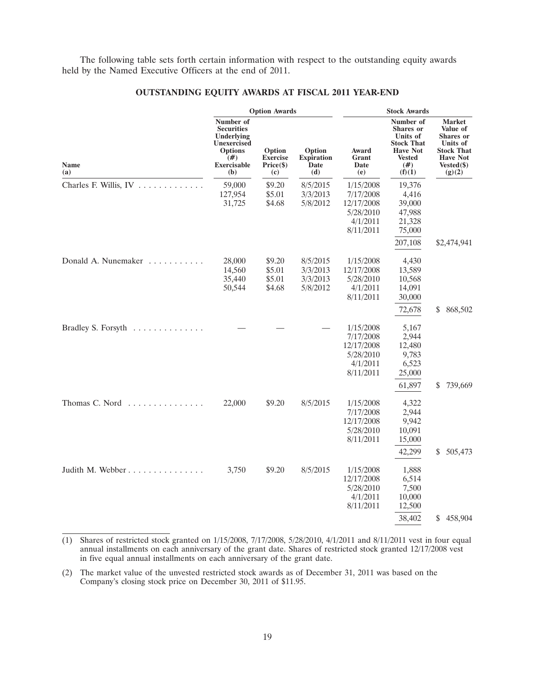The following table sets forth certain information with respect to the outstanding equity awards held by the Named Executive Officers at the end of 2011.

|                         |                                                                                                                      | <b>Option Awards</b>                           |                                              | <b>Stock Awards</b>                                                        |                                                                                                                        |                                                                                                                           |
|-------------------------|----------------------------------------------------------------------------------------------------------------------|------------------------------------------------|----------------------------------------------|----------------------------------------------------------------------------|------------------------------------------------------------------------------------------------------------------------|---------------------------------------------------------------------------------------------------------------------------|
| Name<br>(a)             | Number of<br><b>Securities</b><br>Underlying<br>Unexercised<br><b>Options</b><br>$(\#)$<br><b>Exercisable</b><br>(b) | Option<br><b>Exercise</b><br>Price (\$)<br>(c) | Option<br><b>Expiration</b><br>Date<br>(d)   | Award<br>Grant<br>Date<br>(e)                                              | Number of<br><b>Shares</b> or<br>Units of<br><b>Stock That</b><br><b>Have Not</b><br><b>Vested</b><br>$(\#)$<br>(f)(1) | <b>Market</b><br>Value of<br><b>Shares</b> or<br>Units of<br><b>Stock That</b><br><b>Have Not</b><br>Vested(\$)<br>(g)(2) |
| Charles F. Willis, IV   | 59,000<br>127,954<br>31,725                                                                                          | \$9.20<br>\$5.01<br>\$4.68                     | 8/5/2015<br>3/3/2013<br>5/8/2012             | 1/15/2008<br>7/17/2008<br>12/17/2008<br>5/28/2010<br>4/1/2011<br>8/11/2011 | 19,376<br>4,416<br>39,000<br>47,988<br>21,328<br>75,000<br>207,108                                                     | \$2,474,941                                                                                                               |
| Donald A. Nunemaker     | 28,000<br>14,560<br>35,440<br>50,544                                                                                 | \$9.20<br>\$5.01<br>\$5.01<br>\$4.68           | 8/5/2015<br>3/3/2013<br>3/3/2013<br>5/8/2012 | 1/15/2008<br>12/17/2008<br>5/28/2010<br>4/1/2011<br>8/11/2011              | 4,430<br>13,589<br>10,568<br>14,091<br>30,000<br>72,678                                                                | \$<br>868,502                                                                                                             |
| Bradley S. Forsyth      |                                                                                                                      |                                                |                                              | 1/15/2008<br>7/17/2008<br>12/17/2008<br>5/28/2010<br>4/1/2011<br>8/11/2011 | 5,167<br>2,944<br>12,480<br>9,783<br>6,523<br>25,000<br>61,897                                                         | 739,669<br>\$                                                                                                             |
| Thomas C. Nord $\ldots$ | 22,000                                                                                                               | \$9.20                                         | 8/5/2015                                     | 1/15/2008<br>7/17/2008<br>12/17/2008<br>5/28/2010<br>8/11/2011             | 4,322<br>2,944<br>9,942<br>10,091<br>15,000<br>42,299                                                                  | 505,473<br>\$                                                                                                             |
| Judith M. Webber        | 3,750                                                                                                                | \$9.20                                         | 8/5/2015                                     | 1/15/2008<br>12/17/2008<br>5/28/2010<br>4/1/2011<br>8/11/2011              | 1,888<br>6,514<br>7,500<br>10,000<br>12,500<br>38,402                                                                  | \$458,904                                                                                                                 |

## **OUTSTANDING EQUITY AWARDS AT FISCAL 2011 YEAR-END**

<sup>(1)</sup> Shares of restricted stock granted on 1/15/2008, 7/17/2008, 5/28/2010, 4/1/2011 and 8/11/2011 vest in four equal annual installments on each anniversary of the grant date. Shares of restricted stock granted 12/17/2008 vest in five equal annual installments on each anniversary of the grant date.

<sup>(2)</sup> The market value of the unvested restricted stock awards as of December 31, 2011 was based on the Company's closing stock price on December 30, 2011 of \$11.95.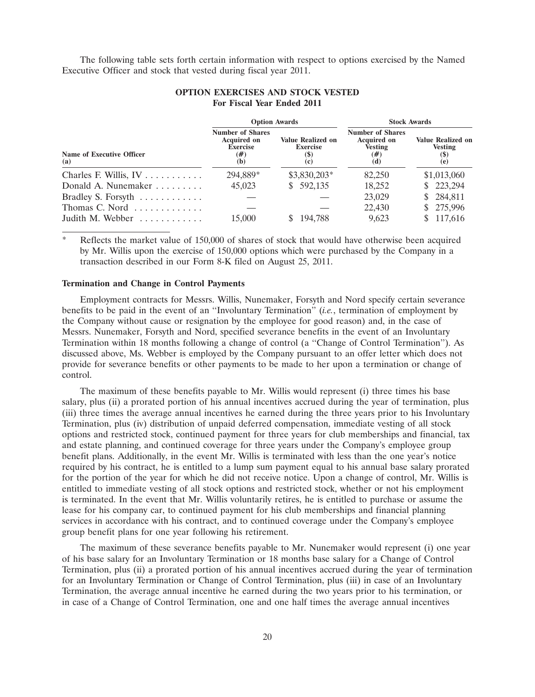The following table sets forth certain information with respect to options exercised by the Named Executive Officer and stock that vested during fiscal year 2011.

|                                           |                                                                                | <b>Option Awards</b>                                       | <b>Stock Awards</b>                                                           |                                                                                   |  |
|-------------------------------------------|--------------------------------------------------------------------------------|------------------------------------------------------------|-------------------------------------------------------------------------------|-----------------------------------------------------------------------------------|--|
| Name of Executive Officer<br>(a)          | <b>Number of Shares</b><br><b>Acquired on</b><br><b>Exercise</b><br>(#)<br>(b) | <b>Value Realized on</b><br><b>Exercise</b><br>(\$)<br>(c) | <b>Number of Shares</b><br><b>Acquired on</b><br><b>Vesting</b><br>(#)<br>(d) | <b>Value Realized on</b><br><b>Vesting</b><br>$\left( \mathcal{P} \right)$<br>(e) |  |
|                                           | 294,889*                                                                       | \$3,830,203*                                               | 82,250                                                                        | \$1,013,060                                                                       |  |
| Donald A. Nunemaker                       | 45,023                                                                         | \$592,135                                                  | 18,252                                                                        | \$223,294                                                                         |  |
| Bradley S. Forsyth $\ldots \ldots \ldots$ |                                                                                |                                                            | 23,029                                                                        | \$ 284,811                                                                        |  |
| Thomas C. Nord $\ldots \ldots \ldots$     |                                                                                |                                                            | 22,430                                                                        | \$275,996                                                                         |  |
| Judith M. Webber $\dots\dots\dots\dots$   | 15,000                                                                         | 194.788                                                    | 9.623                                                                         | \$117,616                                                                         |  |

# **OPTION EXERCISES AND STOCK VESTED For Fiscal Year Ended 2011**

Reflects the market value of 150,000 of shares of stock that would have otherwise been acquired by Mr. Willis upon the exercise of 150,000 options which were purchased by the Company in a transaction described in our Form 8-K filed on August 25, 2011.

#### **Termination and Change in Control Payments**

Employment contracts for Messrs. Willis, Nunemaker, Forsyth and Nord specify certain severance benefits to be paid in the event of an ''Involuntary Termination'' (*i.e.*, termination of employment by the Company without cause or resignation by the employee for good reason) and, in the case of Messrs. Nunemaker, Forsyth and Nord, specified severance benefits in the event of an Involuntary Termination within 18 months following a change of control (a ''Change of Control Termination''). As discussed above, Ms. Webber is employed by the Company pursuant to an offer letter which does not provide for severance benefits or other payments to be made to her upon a termination or change of control.

The maximum of these benefits payable to Mr. Willis would represent (i) three times his base salary, plus (ii) a prorated portion of his annual incentives accrued during the year of termination, plus (iii) three times the average annual incentives he earned during the three years prior to his Involuntary Termination, plus (iv) distribution of unpaid deferred compensation, immediate vesting of all stock options and restricted stock, continued payment for three years for club memberships and financial, tax and estate planning, and continued coverage for three years under the Company's employee group benefit plans. Additionally, in the event Mr. Willis is terminated with less than the one year's notice required by his contract, he is entitled to a lump sum payment equal to his annual base salary prorated for the portion of the year for which he did not receive notice. Upon a change of control, Mr. Willis is entitled to immediate vesting of all stock options and restricted stock, whether or not his employment is terminated. In the event that Mr. Willis voluntarily retires, he is entitled to purchase or assume the lease for his company car, to continued payment for his club memberships and financial planning services in accordance with his contract, and to continued coverage under the Company's employee group benefit plans for one year following his retirement.

The maximum of these severance benefits payable to Mr. Nunemaker would represent (i) one year of his base salary for an Involuntary Termination or 18 months base salary for a Change of Control Termination, plus (ii) a prorated portion of his annual incentives accrued during the year of termination for an Involuntary Termination or Change of Control Termination, plus (iii) in case of an Involuntary Termination, the average annual incentive he earned during the two years prior to his termination, or in case of a Change of Control Termination, one and one half times the average annual incentives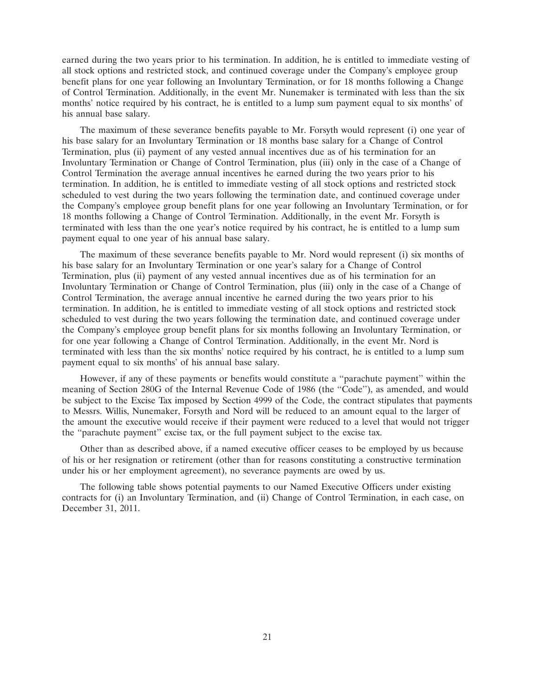earned during the two years prior to his termination. In addition, he is entitled to immediate vesting of all stock options and restricted stock, and continued coverage under the Company's employee group benefit plans for one year following an Involuntary Termination, or for 18 months following a Change of Control Termination. Additionally, in the event Mr. Nunemaker is terminated with less than the six months' notice required by his contract, he is entitled to a lump sum payment equal to six months' of his annual base salary.

The maximum of these severance benefits payable to Mr. Forsyth would represent (i) one year of his base salary for an Involuntary Termination or 18 months base salary for a Change of Control Termination, plus (ii) payment of any vested annual incentives due as of his termination for an Involuntary Termination or Change of Control Termination, plus (iii) only in the case of a Change of Control Termination the average annual incentives he earned during the two years prior to his termination. In addition, he is entitled to immediate vesting of all stock options and restricted stock scheduled to vest during the two years following the termination date, and continued coverage under the Company's employee group benefit plans for one year following an Involuntary Termination, or for 18 months following a Change of Control Termination. Additionally, in the event Mr. Forsyth is terminated with less than the one year's notice required by his contract, he is entitled to a lump sum payment equal to one year of his annual base salary.

The maximum of these severance benefits payable to Mr. Nord would represent (i) six months of his base salary for an Involuntary Termination or one year's salary for a Change of Control Termination, plus (ii) payment of any vested annual incentives due as of his termination for an Involuntary Termination or Change of Control Termination, plus (iii) only in the case of a Change of Control Termination, the average annual incentive he earned during the two years prior to his termination. In addition, he is entitled to immediate vesting of all stock options and restricted stock scheduled to vest during the two years following the termination date, and continued coverage under the Company's employee group benefit plans for six months following an Involuntary Termination, or for one year following a Change of Control Termination. Additionally, in the event Mr. Nord is terminated with less than the six months' notice required by his contract, he is entitled to a lump sum payment equal to six months' of his annual base salary.

However, if any of these payments or benefits would constitute a ''parachute payment'' within the meaning of Section 280G of the Internal Revenue Code of 1986 (the "Code"), as amended, and would be subject to the Excise Tax imposed by Section 4999 of the Code, the contract stipulates that payments to Messrs. Willis, Nunemaker, Forsyth and Nord will be reduced to an amount equal to the larger of the amount the executive would receive if their payment were reduced to a level that would not trigger the ''parachute payment'' excise tax, or the full payment subject to the excise tax.

Other than as described above, if a named executive officer ceases to be employed by us because of his or her resignation or retirement (other than for reasons constituting a constructive termination under his or her employment agreement), no severance payments are owed by us.

The following table shows potential payments to our Named Executive Officers under existing contracts for (i) an Involuntary Termination, and (ii) Change of Control Termination, in each case, on December 31, 2011.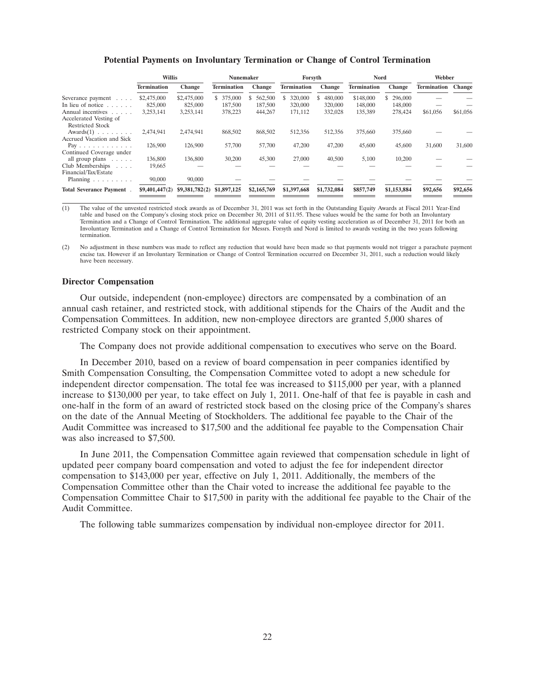#### **Potential Payments on Involuntary Termination or Change of Control Termination**

|                                                                                                          | <b>Willis</b>                       |                                     | Nunemaker                        |                                     | Forsyth                       |                               | Nord                            |                                     | Webber             |          |
|----------------------------------------------------------------------------------------------------------|-------------------------------------|-------------------------------------|----------------------------------|-------------------------------------|-------------------------------|-------------------------------|---------------------------------|-------------------------------------|--------------------|----------|
|                                                                                                          | <b>Termination</b>                  | Change                              | Termination                      | <b>Change</b>                       | <b>Termination</b>            | Change                        | <b>Termination</b>              | <b>Change</b>                       | <b>Termination</b> | Change   |
| Severance payment<br>In lieu of notice $\ldots$<br>Annual incentives                                     | \$2,475,000<br>825,000<br>3,253,141 | \$2,475,000<br>825,000<br>3,253,141 | \$ 375,000<br>187,500<br>378,223 | 562,500<br>\$<br>187,500<br>444,267 | 320,000<br>320,000<br>171,112 | 480,000<br>320,000<br>332,028 | \$148,000<br>148,000<br>135,389 | 296,000<br>S.<br>148,000<br>278,424 | \$61,056           | \$61,056 |
| Accelerated Vesting of<br>Restricted Stock<br>$Awards(1) \dots \dots \dots$<br>Accrued Vacation and Sick | 2,474,941                           | 2,474,941                           | 868,502                          | 868,502                             | 512,356                       | 512,356                       | 375,660                         | 375,660                             |                    |          |
| Pay<br>Continued Coverage under                                                                          | 126,900                             | 126,900                             | 57,700                           | 57,700                              | 47,200                        | 47,200                        | 45,600                          | 45,600                              | 31,600             | 31,600   |
| all group plans $\dots$ .<br>Club Memberships<br>$\alpha$ , $\alpha$ , $\alpha$ , $\alpha$               | 136,800<br>19,665                   | 136,800                             | 30,200                           | 45,300                              | 27,000                        | 40,500                        | 5,100                           | 10,200                              |                    |          |
| Financial/Tax/Estate<br>Planning $\ldots$ , $\ldots$ , $\ldots$                                          | 90,000                              | 90,000                              |                                  |                                     |                               |                               |                                 |                                     |                    |          |
| Total Severance Payment.                                                                                 | \$9,401,447(2)                      | \$9,381,782(2)                      | \$1,897,125                      | \$2,165,769                         | \$1,397,668                   | \$1,732,084                   | \$857,749                       | \$1,153,884                         | \$92,656           | \$92,656 |

(1) The value of the unvested restricted stock awards as of December 31, 2011 was set forth in the Outstanding Equity Awards at Fiscal 2011 Year-End table and based on the Company's closing stock price on December 30, 2011 of \$11.95. These values would be the same for both an Involuntary Termination and a Change of Control Termination. The additional aggregate value of equity vesting acceleration as of December 31, 2011 for both an Involuntary Termination and a Change of Control Termination for Messrs. Forsyth and Nord is limited to awards vesting in the two years following termination.

(2) No adjustment in these numbers was made to reflect any reduction that would have been made so that payments would not trigger a parachute payment excise tax. However if an Involuntary Termination or Change of Control Termination occurred on December 31, 2011, such a reduction would likely have been necessary.

#### **Director Compensation**

Our outside, independent (non-employee) directors are compensated by a combination of an annual cash retainer, and restricted stock, with additional stipends for the Chairs of the Audit and the Compensation Committees. In addition, new non-employee directors are granted 5,000 shares of restricted Company stock on their appointment.

The Company does not provide additional compensation to executives who serve on the Board.

In December 2010, based on a review of board compensation in peer companies identified by Smith Compensation Consulting, the Compensation Committee voted to adopt a new schedule for independent director compensation. The total fee was increased to \$115,000 per year, with a planned increase to \$130,000 per year, to take effect on July 1, 2011. One-half of that fee is payable in cash and one-half in the form of an award of restricted stock based on the closing price of the Company's shares on the date of the Annual Meeting of Stockholders. The additional fee payable to the Chair of the Audit Committee was increased to \$17,500 and the additional fee payable to the Compensation Chair was also increased to \$7,500.

In June 2011, the Compensation Committee again reviewed that compensation schedule in light of updated peer company board compensation and voted to adjust the fee for independent director compensation to \$143,000 per year, effective on July 1, 2011. Additionally, the members of the Compensation Committee other than the Chair voted to increase the additional fee payable to the Compensation Committee Chair to \$17,500 in parity with the additional fee payable to the Chair of the Audit Committee.

The following table summarizes compensation by individual non-employee director for 2011.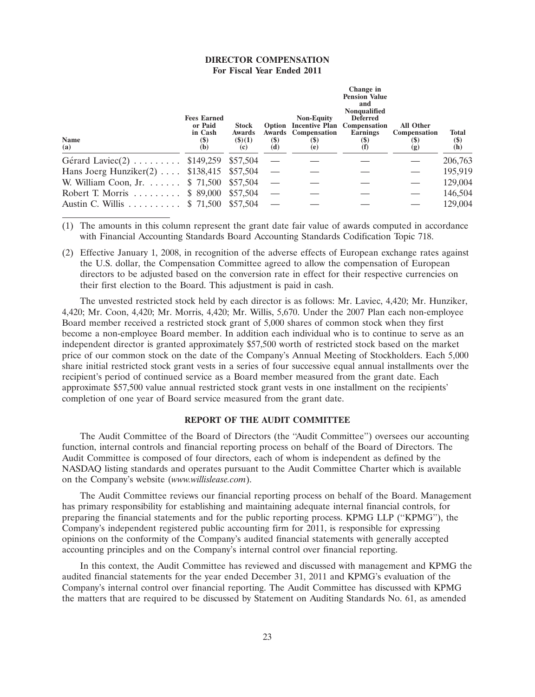## **DIRECTOR COMPENSATION For Fiscal Year Ended 2011**

| Name<br>(a)                                  | <b>Fees Earned</b><br>or Paid<br>in Cash<br>(\$)<br>(b) | <b>Stock</b><br>Awards<br>(3)(1)<br>(c) | <b>(\$)</b><br>(d) | <b>Non-Equity</b><br>Option Incentive Plan Compensation<br><b>Awards</b> Compensation<br>(S)<br>(e) | Change in<br><b>Pension Value</b><br>and<br><b>Nonqualified</b><br><b>Deferred</b><br><b>Earnings</b><br>(5)<br>(I) | All Other<br>Compensation<br>$\left( \mathcal{S} \right)$<br>(g) | <b>Total</b><br>$(\$)$<br>(h) |
|----------------------------------------------|---------------------------------------------------------|-----------------------------------------|--------------------|-----------------------------------------------------------------------------------------------------|---------------------------------------------------------------------------------------------------------------------|------------------------------------------------------------------|-------------------------------|
| Gérard Laviec $(2)$                          | \$149,259                                               | \$57,504                                |                    |                                                                                                     |                                                                                                                     |                                                                  | 206,763                       |
| Hans Joerg Hunziker $(2)$ \$138,415 \$57,504 |                                                         |                                         |                    |                                                                                                     |                                                                                                                     |                                                                  | 195,919                       |
| W. William Coon, Jr. \$ 71,500 \$57,504      |                                                         |                                         |                    |                                                                                                     |                                                                                                                     |                                                                  | 129,004                       |
| Robert T. Morris                             | \$ 89,000 \$57,504                                      |                                         |                    |                                                                                                     |                                                                                                                     |                                                                  | 146,504                       |
| Austin C. Willis \$ 71,500                   |                                                         | \$57,504                                |                    |                                                                                                     |                                                                                                                     |                                                                  | 129,004                       |

(1) The amounts in this column represent the grant date fair value of awards computed in accordance with Financial Accounting Standards Board Accounting Standards Codification Topic 718.

(2) Effective January 1, 2008, in recognition of the adverse effects of European exchange rates against the U.S. dollar, the Compensation Committee agreed to allow the compensation of European directors to be adjusted based on the conversion rate in effect for their respective currencies on their first election to the Board. This adjustment is paid in cash.

The unvested restricted stock held by each director is as follows: Mr. Laviec, 4,420; Mr. Hunziker, 4,420; Mr. Coon, 4,420; Mr. Morris, 4,420; Mr. Willis, 5,670. Under the 2007 Plan each non-employee Board member received a restricted stock grant of 5,000 shares of common stock when they first become a non-employee Board member. In addition each individual who is to continue to serve as an independent director is granted approximately \$57,500 worth of restricted stock based on the market price of our common stock on the date of the Company's Annual Meeting of Stockholders. Each 5,000 share initial restricted stock grant vests in a series of four successive equal annual installments over the recipient's period of continued service as a Board member measured from the grant date. Each approximate \$57,500 value annual restricted stock grant vests in one installment on the recipients' completion of one year of Board service measured from the grant date.

# **REPORT OF THE AUDIT COMMITTEE**

The Audit Committee of the Board of Directors (the ''Audit Committee'') oversees our accounting function, internal controls and financial reporting process on behalf of the Board of Directors. The Audit Committee is composed of four directors, each of whom is independent as defined by the NASDAQ listing standards and operates pursuant to the Audit Committee Charter which is available on the Company's website (*www.willislease.com*).

The Audit Committee reviews our financial reporting process on behalf of the Board. Management has primary responsibility for establishing and maintaining adequate internal financial controls, for preparing the financial statements and for the public reporting process. KPMG LLP (''KPMG''), the Company's independent registered public accounting firm for 2011, is responsible for expressing opinions on the conformity of the Company's audited financial statements with generally accepted accounting principles and on the Company's internal control over financial reporting.

In this context, the Audit Committee has reviewed and discussed with management and KPMG the audited financial statements for the year ended December 31, 2011 and KPMG's evaluation of the Company's internal control over financial reporting. The Audit Committee has discussed with KPMG the matters that are required to be discussed by Statement on Auditing Standards No. 61, as amended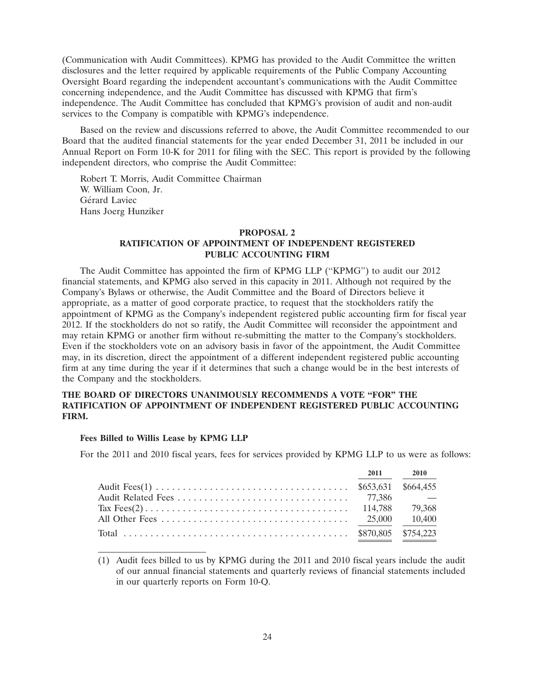(Communication with Audit Committees). KPMG has provided to the Audit Committee the written disclosures and the letter required by applicable requirements of the Public Company Accounting Oversight Board regarding the independent accountant's communications with the Audit Committee concerning independence, and the Audit Committee has discussed with KPMG that firm's independence. The Audit Committee has concluded that KPMG's provision of audit and non-audit services to the Company is compatible with KPMG's independence.

Based on the review and discussions referred to above, the Audit Committee recommended to our Board that the audited financial statements for the year ended December 31, 2011 be included in our Annual Report on Form 10-K for 2011 for filing with the SEC. This report is provided by the following independent directors, who comprise the Audit Committee:

Robert T. Morris, Audit Committee Chairman W. William Coon, Jr. Gérard Laviec Hans Joerg Hunziker

#### **PROPOSAL 2**

# **RATIFICATION OF APPOINTMENT OF INDEPENDENT REGISTERED PUBLIC ACCOUNTING FIRM**

The Audit Committee has appointed the firm of KPMG LLP (''KPMG'') to audit our 2012 financial statements, and KPMG also served in this capacity in 2011. Although not required by the Company's Bylaws or otherwise, the Audit Committee and the Board of Directors believe it appropriate, as a matter of good corporate practice, to request that the stockholders ratify the appointment of KPMG as the Company's independent registered public accounting firm for fiscal year 2012. If the stockholders do not so ratify, the Audit Committee will reconsider the appointment and may retain KPMG or another firm without re-submitting the matter to the Company's stockholders. Even if the stockholders vote on an advisory basis in favor of the appointment, the Audit Committee may, in its discretion, direct the appointment of a different independent registered public accounting firm at any time during the year if it determines that such a change would be in the best interests of the Company and the stockholders.

# **THE BOARD OF DIRECTORS UNANIMOUSLY RECOMMENDS A VOTE ''FOR'' THE RATIFICATION OF APPOINTMENT OF INDEPENDENT REGISTERED PUBLIC ACCOUNTING FIRM.**

#### **Fees Billed to Willis Lease by KPMG LLP**

For the 2011 and 2010 fiscal years, fees for services provided by KPMG LLP to us were as follows:

| 2011 2010 |                          |
|-----------|--------------------------|
|           |                          |
|           | $\overline{\phantom{a}}$ |
|           |                          |
|           |                          |
|           |                          |

(1) Audit fees billed to us by KPMG during the 2011 and 2010 fiscal years include the audit of our annual financial statements and quarterly reviews of financial statements included in our quarterly reports on Form 10-Q.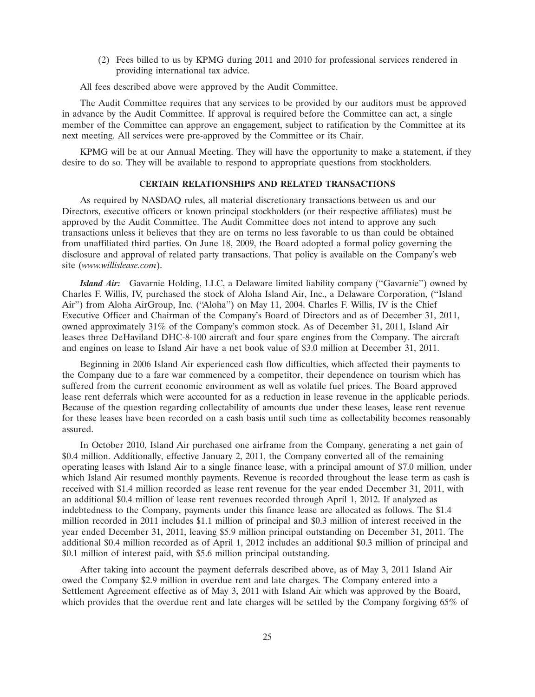(2) Fees billed to us by KPMG during 2011 and 2010 for professional services rendered in providing international tax advice.

All fees described above were approved by the Audit Committee.

The Audit Committee requires that any services to be provided by our auditors must be approved in advance by the Audit Committee. If approval is required before the Committee can act, a single member of the Committee can approve an engagement, subject to ratification by the Committee at its next meeting. All services were pre-approved by the Committee or its Chair.

KPMG will be at our Annual Meeting. They will have the opportunity to make a statement, if they desire to do so. They will be available to respond to appropriate questions from stockholders.

## **CERTAIN RELATIONSHIPS AND RELATED TRANSACTIONS**

As required by NASDAQ rules, all material discretionary transactions between us and our Directors, executive officers or known principal stockholders (or their respective affiliates) must be approved by the Audit Committee. The Audit Committee does not intend to approve any such transactions unless it believes that they are on terms no less favorable to us than could be obtained from unaffiliated third parties. On June 18, 2009, the Board adopted a formal policy governing the disclosure and approval of related party transactions. That policy is available on the Company's web site (*www.willislease.com*).

*Island Air:* Gavarnie Holding, LLC, a Delaware limited liability company (''Gavarnie'') owned by Charles F. Willis, IV, purchased the stock of Aloha Island Air, Inc., a Delaware Corporation, (''Island Air'') from Aloha AirGroup, Inc. (''Aloha'') on May 11, 2004. Charles F. Willis, IV is the Chief Executive Officer and Chairman of the Company's Board of Directors and as of December 31, 2011, owned approximately 31% of the Company's common stock. As of December 31, 2011, Island Air leases three DeHaviland DHC-8-100 aircraft and four spare engines from the Company. The aircraft and engines on lease to Island Air have a net book value of \$3.0 million at December 31, 2011.

Beginning in 2006 Island Air experienced cash flow difficulties, which affected their payments to the Company due to a fare war commenced by a competitor, their dependence on tourism which has suffered from the current economic environment as well as volatile fuel prices. The Board approved lease rent deferrals which were accounted for as a reduction in lease revenue in the applicable periods. Because of the question regarding collectability of amounts due under these leases, lease rent revenue for these leases have been recorded on a cash basis until such time as collectability becomes reasonably assured.

In October 2010, Island Air purchased one airframe from the Company, generating a net gain of \$0.4 million. Additionally, effective January 2, 2011, the Company converted all of the remaining operating leases with Island Air to a single finance lease, with a principal amount of \$7.0 million, under which Island Air resumed monthly payments. Revenue is recorded throughout the lease term as cash is received with \$1.4 million recorded as lease rent revenue for the year ended December 31, 2011, with an additional \$0.4 million of lease rent revenues recorded through April 1, 2012. If analyzed as indebtedness to the Company, payments under this finance lease are allocated as follows. The \$1.4 million recorded in 2011 includes \$1.1 million of principal and \$0.3 million of interest received in the year ended December 31, 2011, leaving \$5.9 million principal outstanding on December 31, 2011. The additional \$0.4 million recorded as of April 1, 2012 includes an additional \$0.3 million of principal and \$0.1 million of interest paid, with \$5.6 million principal outstanding.

After taking into account the payment deferrals described above, as of May 3, 2011 Island Air owed the Company \$2.9 million in overdue rent and late charges. The Company entered into a Settlement Agreement effective as of May 3, 2011 with Island Air which was approved by the Board, which provides that the overdue rent and late charges will be settled by the Company forgiving 65% of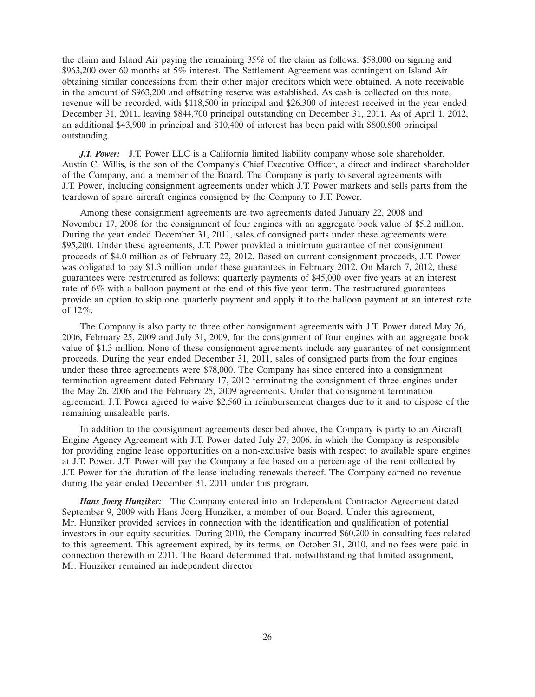the claim and Island Air paying the remaining 35% of the claim as follows: \$58,000 on signing and \$963,200 over 60 months at 5% interest. The Settlement Agreement was contingent on Island Air obtaining similar concessions from their other major creditors which were obtained. A note receivable in the amount of \$963,200 and offsetting reserve was established. As cash is collected on this note, revenue will be recorded, with \$118,500 in principal and \$26,300 of interest received in the year ended December 31, 2011, leaving \$844,700 principal outstanding on December 31, 2011. As of April 1, 2012, an additional \$43,900 in principal and \$10,400 of interest has been paid with \$800,800 principal outstanding.

*J.T. Power:* J.T. Power LLC is a California limited liability company whose sole shareholder, Austin C. Willis, is the son of the Company's Chief Executive Officer, a direct and indirect shareholder of the Company, and a member of the Board. The Company is party to several agreements with J.T. Power, including consignment agreements under which J.T. Power markets and sells parts from the teardown of spare aircraft engines consigned by the Company to J.T. Power.

Among these consignment agreements are two agreements dated January 22, 2008 and November 17, 2008 for the consignment of four engines with an aggregate book value of \$5.2 million. During the year ended December 31, 2011, sales of consigned parts under these agreements were \$95,200. Under these agreements, J.T. Power provided a minimum guarantee of net consignment proceeds of \$4.0 million as of February 22, 2012. Based on current consignment proceeds, J.T. Power was obligated to pay \$1.3 million under these guarantees in February 2012. On March 7, 2012, these guarantees were restructured as follows: quarterly payments of \$45,000 over five years at an interest rate of 6% with a balloon payment at the end of this five year term. The restructured guarantees provide an option to skip one quarterly payment and apply it to the balloon payment at an interest rate of 12%.

The Company is also party to three other consignment agreements with J.T. Power dated May 26, 2006, February 25, 2009 and July 31, 2009, for the consignment of four engines with an aggregate book value of \$1.3 million. None of these consignment agreements include any guarantee of net consignment proceeds. During the year ended December 31, 2011, sales of consigned parts from the four engines under these three agreements were \$78,000. The Company has since entered into a consignment termination agreement dated February 17, 2012 terminating the consignment of three engines under the May 26, 2006 and the February 25, 2009 agreements. Under that consignment termination agreement, J.T. Power agreed to waive \$2,560 in reimbursement charges due to it and to dispose of the remaining unsaleable parts.

In addition to the consignment agreements described above, the Company is party to an Aircraft Engine Agency Agreement with J.T. Power dated July 27, 2006, in which the Company is responsible for providing engine lease opportunities on a non-exclusive basis with respect to available spare engines at J.T. Power. J.T. Power will pay the Company a fee based on a percentage of the rent collected by J.T. Power for the duration of the lease including renewals thereof. The Company earned no revenue during the year ended December 31, 2011 under this program.

*Hans Joerg Hunziker:* The Company entered into an Independent Contractor Agreement dated September 9, 2009 with Hans Joerg Hunziker, a member of our Board. Under this agreement, Mr. Hunziker provided services in connection with the identification and qualification of potential investors in our equity securities. During 2010, the Company incurred \$60,200 in consulting fees related to this agreement. This agreement expired, by its terms, on October 31, 2010, and no fees were paid in connection therewith in 2011. The Board determined that, notwithstanding that limited assignment, Mr. Hunziker remained an independent director.